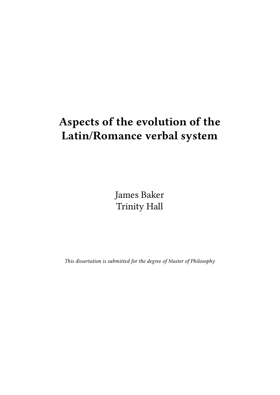# Aspects of the evolution of the Latin/Romance verbal system

James Baker Trinity Hall

This dissertation is submitted for the degree of Master of Philosophy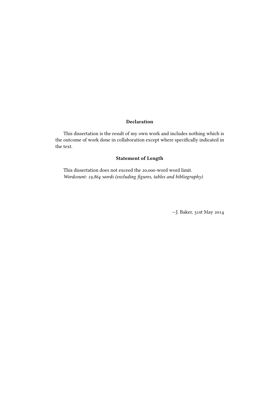#### Declaration

This dissertation is the result of my own work and includes nothing which is the outcome of work done in collaboration except where specifically indicated in the text.

# Statement of Length

This dissertation does not exceed the 20,000-word word limit. Wordcount: 19,864 words (excluding figures, tables and bibliography)

—J. Baker, 31st May 2014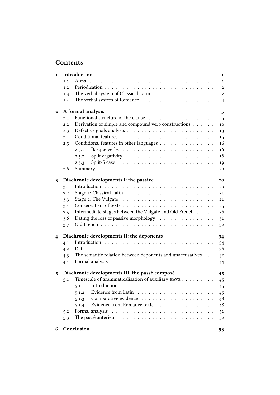# Contents

| $\mathbf{1}$ |     | Introduction                                                                       | $\mathbf{1}$ |
|--------------|-----|------------------------------------------------------------------------------------|--------------|
|              | 1.1 |                                                                                    | $\mathbf{1}$ |
|              | 1.2 |                                                                                    | $\mathbf{2}$ |
|              | 1.3 | The verbal system of Classical Latin                                               | $\mathbf{2}$ |
|              | 1.4 |                                                                                    | 4            |
| $\mathbf{2}$ |     | A formal analysis                                                                  | 5            |
|              | 2.1 |                                                                                    | 5            |
|              | 2.2 | Derivation of simple and compound verb constructions                               | 10           |
|              | 2.3 |                                                                                    | 13           |
|              | 2.4 |                                                                                    | 15           |
|              | 2.5 | Conditional features in other languages                                            | 16           |
|              |     | 2.5.1                                                                              | 16           |
|              |     | 2.5.2                                                                              | 18           |
|              |     | Split-S case $\ldots \ldots \ldots \ldots \ldots \ldots \ldots \ldots$<br>2.5.3    | 19           |
|              | 2.6 |                                                                                    | 20           |
| 3            |     | Diachronic developments I: the passive                                             | 20           |
|              | 3.1 |                                                                                    | 20           |
|              | 3.2 |                                                                                    | 21           |
|              | 3.3 | Stage 2: The Vulgate $\dots \dots \dots \dots \dots \dots \dots \dots \dots \dots$ | 21           |
|              | 3.4 |                                                                                    | 25           |
|              | 3.5 | Intermediate stages between the Vulgate and Old French                             | 26           |
|              | 3.6 | Dating the loss of passive morphology                                              | 31           |
|              | 3.7 |                                                                                    | 32           |
| 4            |     | Diachronic developments II: the deponents                                          | 34           |
|              | 4.1 |                                                                                    | 34           |
|              | 4.2 |                                                                                    | 36           |
|              | 4.3 | The semantic relation between deponents and unaccusatives                          | 42           |
|              | 4.4 |                                                                                    | 44           |
| 5            |     | Diachronic developments III: the passé composé                                     | 45           |
|              | 5.1 | Timescale of grammaticalisation of auxiliary ${\tt HAVE}$                          | 45           |
|              |     | 5.1.1                                                                              | 45           |
|              |     | 5.1.2                                                                              | 45           |
|              |     | 5.1.3                                                                              | 48           |
|              |     | Evidence from Romance texts<br>5.1.4                                               | 48           |
|              | 5.2 | Formal analysis                                                                    | 51           |
|              | 5.3 |                                                                                    | 52           |
| 6            |     | Conclusion                                                                         | 53           |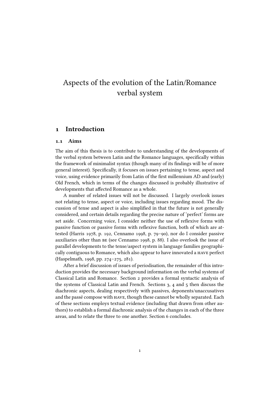# Aspects of the evolution of the Latin/Romance verbal system

## 1 Introduction

#### 1.1 Aims

The aim of this thesis is to contribute to understanding of the developments of the verbal system between Latin and the Romance languages, specifically within the framework of minimalist syntax (though many of its findings will be of more general interest). Specifically, it focuses on issues pertaining to tense, aspect and voice, using evidence primarily from Latin of the first millennium AD and (early) Old French, which in terms of the changes discussed is probably illustrative of developments that affected Romance as a whole.

A number of related issues will not be discussed. I largely overlook issues not relating to tense, aspect or voice, including issues regarding mood. The discussion of tense and aspect is also simplified in that the future is not generally considered, and certain details regarding the precise nature of 'perfect' forms are set aside. Concerning voice, I consider neither the use of reflexive forms with passive function or passive forms with reflexive function, both of which are attested (Harris 1978, p. 192, Cennamo 1998, p. 79–90), nor do I consider passive auxiliaries other than be (see Cennamo 1998, p. 88). I also overlook the issue of parallel developments to the tense/aspect system in language families geographically contiguous to Romance, which also appear to have innovated a have perfect (Haspelmath, 1998, pp. 274–275, 281).

After a brief discussion of issues of periodisation, the remainder of this introduction provides the necessary background information on the verbal systems of Classical Latin and Romance. Section 2 provides a formal syntactic analysis of the systems of Classical Latin and French. Sections 3, 4 and 5 then discuss the diachronic aspects, dealing respectively with passives, deponents/unaccusatives and the passé compose with have, though these cannot be wholly separated. Each of these sections employs textual evidence (including that drawn from other authors) to establish a formal diachronic analysis of the changes in each of the three areas, and to relate the three to one another. Section 6 concludes.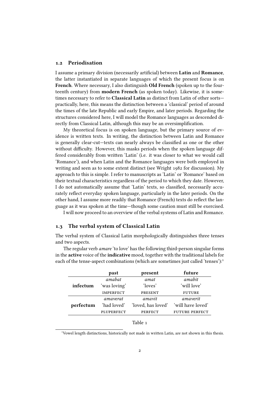#### 1.2 Periodisation

I assume a primary division (necessarily artificial) between Latin and Romance, the latter instantiated in separate languages of which the present focus is on French. Where necessary, I also distinguish Old French (spoken up to the fourteenth century) from modern French (as spoken today). Likewise, it is sometimes necessary to refer to Classical Latin as distinct from Latin of other sorts practically, here, this means the distinction between a 'classical' period of around the times of the late Republic and early Empire, and later periods. Regarding the structures considered here, I will model the Romance languages as descended directly from Classical Latin, although this may be an oversimplification.

My theoretical focus is on spoken language, but the primary source of evidence is written texts. In writing, the distinction between Latin and Romance is generally clear-cut—texts can nearly always be classified as one or the other without difficulty. However, this masks periods when the spoken language differed considerably from written 'Latin' (i.e. it was closer to what we would call 'Romance'), and when Latin and the Romance languages were both employed in writing and seen as to some extent distinct (see Wright 1982 for discussion). My approach to this is simple. I refer to manuscripts as 'Latin' or 'Romance' based on their textual characteristics regardless of the period to which they date. However, I do not automatically assume that 'Latin' texts, so classified, necessarily accurately reflect everyday spoken language, particularly in the later periods. On the other hand, I assume more readily that Romance (French) texts do reflect the language as it was spoken at the time—though some caution must still be exercised.

I will now proceed to an overview of the verbal systems of Latin and Romance.

#### 1.3 The verbal system of Classical Latin

The verbal system of Classical Latin morphologically distinguishes three tenses and two aspects.

The regular verb amare 'to love' has the following third-person singular forms in the active voice of the indicative mood, together with the traditional labels for each of the tense-aspect combinations (which are sometimes just called 'tenses'):<sup>1</sup>

| amabat           | amat               |                       |
|------------------|--------------------|-----------------------|
|                  |                    | amabit                |
| 'was loving'     | 'loves'            | 'will love'           |
| <b>IMPERFECT</b> | <b>PRESENT</b>     | <b>FUTURE</b>         |
| amayerat         | amavit             | amaverit              |
| 'had loved'      | 'loved, has loved' | 'will have loved'     |
| PLUPERFECT       | <b>PERFECT</b>     | <b>FUTURE PERFECT</b> |
|                  |                    |                       |

| ani |
|-----|
|-----|

<sup>1</sup>Vowel length distinctions, historically not made in written Latin, are not shown in this thesis.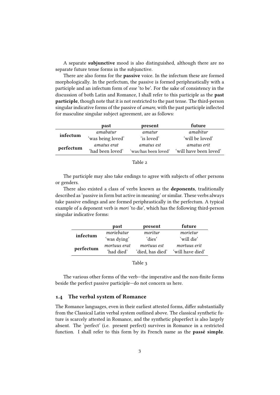A separate **subjunctive** mood is also distinguished, although there are no separate future tense forms in the subjunctive.

There are also forms for the **passive** voice. In the infectum these are formed morphologically. In the perfectum, the passive is formed periphrastically with a participle and an infectum form of esse 'to be'. For the sake of consistency in the discussion of both Latin and Romance, I shall refer to this participle as the past participle, though note that it is not restricted to the past tense. The third-person singular indicative forms of the passive of *amare*, with the past participle inflected for masculine singular subject agreement, are as follows:

|           | past              | present              | future                 |
|-----------|-------------------|----------------------|------------------------|
| infectum  | amabatur          | amatur               | amabitur               |
|           | 'was being loved' | 'is loved'           | 'will be loved'        |
|           | amatus erat       | amatus est           | amatus erit            |
| perfectum | 'had been loved'  | 'was/has been loved' | 'will have been loved' |

The participle may also take endings to agree with subjects of other persons or genders.

There also existed a class of verbs known as the **deponents**, traditionally described as 'passive in form but active in meaning' or similar. These verbs always take passive endings and are formed periphrastically in the perfectum. A typical example of a deponent verb is mori 'to die', which has the following third-person singular indicative forms:

|           | past         | present          | future           |
|-----------|--------------|------------------|------------------|
| infectum  | moriebatur   | moritur          | morietur         |
|           | 'was dying'  | 'dies'           | 'will die'       |
|           | mortuus erat | mortuus est      | mortuus erit     |
| perfectum | 'had died'   | 'died, has died' | 'will have died' |
|           |              |                  |                  |

Table 3

The various other forms of the verb-the imperative and the non-finite forms beside the perfect passive participle—do not concern us here.

#### 1.4 The verbal system of Romance

The Romance languages, even in their earliest attested forms, differ substantially from the Classical Latin verbal system outlined above. The classical synthetic future is scarcely attested in Romance, and the synthetic pluperfect is also largely absent. The 'perfect' (i.e. present perfect) survives in Romance in a restricted function. I shall refer to this form by its French name as the passé simple.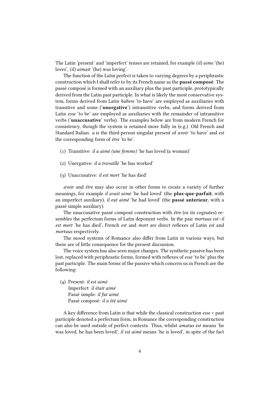The Latin 'present' and 'imperfect' tenses are retained, for example (il) aime '(he) loves', (il) aimait '(he) was loving'.

The function of the Latin perfect is taken to varying degrees by a periphrastic construction which I shall refer to by its French name as the passé composé. The passé composé is formed with an auxiliary plus the past participle, prototypically derived from the Latin past participle. In what is likely the most conservative system, forms derived from Latin habere 'to have' are employed as auxiliaries with transitive and some ('unergative') intransitive verbs, and forms derived from Latin esse 'to be' are employed as auxiliaries with the remainder of intransitive verbs ('unaccusative' verbs). The examples below are from modern French for consistency, though the system is retained more fully in (e.g.) Old French and Standard Italian. a is the third-person singular present of avoir 'to have' and est the corresponding form of être 'to be'.

- (1) Transitive: il a aimé (une femme) 'he has loved (a woman)'
- (2) Unergative: il a travaillé 'he has worked'
- (3) Unaccusative: il est mort 'he has died'

avoir and être may also occur in other forms to create a variety of further meanings, for example *il avait aimé* 'he had loved' (the **plus-que-parfait**, with an imperfect auxiliary), il eut aimé 'he had loved' (the passé anterieur, with a passé simple auxiliary).

The unaccusative passé composé construction with être (or its cognates) resembles the perfectum forms of Latin deponent verbs. In the pair mortuus est–il est mort 'he has died', French est and mort are direct reflexes of Latin est and mortuus respectively.

The mood systems of Romance also differ from Latin in various ways, but these are of little consequence for the present discussion.

The voice system has also seen major changes. The synthetic passive has been lost, replaced with periphrastic forms, formed with reflexes of esse 'to be' plus the past participle. The main forms of the passive which concern us in French are the following:

(4) Present: il est aimé Imperfect: il était aimé Passé simple: il fut aimé Passé composé: il a été aimé

A key difference from Latin is that while the classical construction  $\text{esse} + \text{past}$ participle denoted a perfectum form, in Romance the corresponding construction can also be used outside of perfect contexts. Thus, whilst amatus est means 'he was loved, he has been loved', il est aimé means 'he is loved', in spite of the fact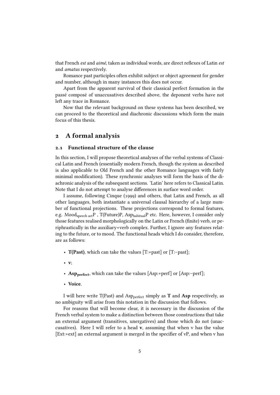that French est and aimé, taken as individual words, are direct reflexes of Latin est and amatus respectively.

Romance past participles often exhibit subject or object agreement for gender and number, although in many instances this does not occur.

Apart from the apparent survival of their classical perfect formation in the passé composé of unaccusatives described above, the deponent verbs have not left any trace in Romance.

Now that the relevant background on these systems has been described, we can proceed to the theoretical and diachronic discussions which form the main focus of this thesis.

# 2 A formal analysis

#### 2.1 Functional structure of the clause

In this section, I will propose theoretical analyses of the verbal systems of Classical Latin and French (essentially modern French, though the system as described is also applicable to Old French and the other Romance languages with fairly minimal modification). These synchronic analyses will form the basis of the diachronic analysis of the subsequent sections. 'Latin' here refers to Classical Latin. Note that I do not attempt to analyse differences in surface word order.

I assume, following Cinque (1999) and others, that Latin and French, as all other languages, both instantiate a universal clausal hierarchy of a large number of functional projections. These projections correspond to formal features, e.g. Moodspeech actP , T(Future)P, AsphabitualP etc. Here, however, I consider only those features realised morphologically on the Latin or French (finite) verb, or periphrastically in the auxiliary+verb complex. Further, I ignore any features relating to the future, or to mood. The functional heads which I do consider, therefore, are as follows:

- $T(Past)$ , which can take the values [T:+past] or [T:-past];
- v;
- Asp<sub>perfect</sub>, which can take the values [Asp:+perf] or [Asp:-perf];
- Voice.

I will here write T(Past) and Asp<sub>perfect</sub> simply as **T** and **Asp** respectively, as no ambiguity will arise from this notation in the discussion that follows.

For reasons that will become clear, it is necessary in the discussion of the French verbal system to make a distinction between those constructions that take an external argument (transitives, unergatives) and those which do not (unaccusatives). Here I will refer to a head  $v$ , assuming that when  $v$  has the value  $[Ext:\text{+ext}]$  an external argument is merged in the specifier of vP, and when v has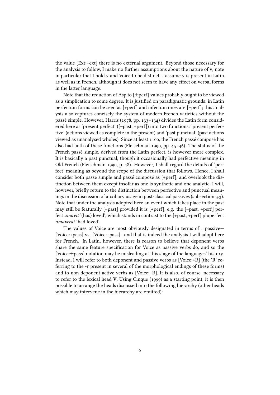the value [Ext:–ext] there is no external argument. Beyond those necessary for the analysis to follow, I make no further assumptions about the nature of v; note in particular that I hold v and Voice to be distinct. I assume v is present in Latin as well as in French, although it does not seem to have any effect on verbal forms in the latter language.

Note that the reduction of Asp to  $[\pm$ perf] values probably ought to be viewed as a simplication to some degree. It is justified on paradigmatic grounds: in Latin perfectum forms can be seen as [+perf] and infectum ones are [–perf]; this analysis also captures concisely the system of modern French varieties without the passé simple. However, Harris (1978, pp. 133–134) divides the Latin form considered here as 'present perfect' ([–past, +perf]) into two functions: 'present perfective' (actions viewed as complete in the present) and 'past punctual' (past actions viewed as unanalysed wholes). Since at least 1100, the French passé composé has also had both of these functions (Fleischman 1990, pp. 45–46). The status of the French passé simple, derived from the Latin perfect, is however more complex. It is basically a past punctual, though it occasionally had perfective meaning in Old French (Fleischman 1990, p. 48). However, I shall regard the details of 'perfect' meaning as beyond the scope of the discussion that follows. Hence, I shall consider both passé simple and passé composé as [+perf], and overlook the distinction between them except insofar as one is synthetic and one analytic. I will, however, briefly return to the distinction between perfective and punctual meanings in the discussion of auxiliary usage in post-classical passives (subsection 3.3). Note that under the analysis adopted here an event which takes place in the past may still be featurally [–past] provided it is [+perf], e.g. the [–past, +perf] perfect amavit '(has) loved', which stands in contrast to the [+past, +perf] pluperfect amaverat 'had loved'.

The values of Voice are most obviously designated in terms of  $\pm$ passive $-$ [Voice:+pass] vs. [Voice:–pass]—and that is indeed the analysis I will adopt here for French. In Latin, however, there is reason to believe that deponent verbs share the same feature specification for Voice as passive verbs do, and so the [Voice:±pass] notation may be misleading at this stage of the languages' history. Instead, I will refer to both deponent and passive verbs as [Voice:+R] (the 'R' referring to the -r present in several of the morphological endings of these forms) and to non-deponent active verbs as [Voice:–R]. It is also, of course, necessary to refer to the lexical head V. Using Cinque (1999) as a starting point, it is then possible to arrange the heads discussed into the following hierarchy (other heads which may intervene in the hierarchy are omitted):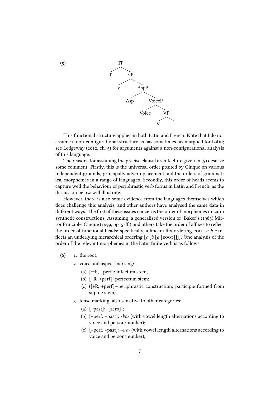

This functional structure applies in both Latin and French. Note that I do not assume a non-configurational structure as has sometimes been argued for Latin; see Ledgeway (2012, ch. 5) for arguments against a non-configurational analysis of this language.

The reasons for assuming the precise clausal architecture given in (5) deserve some comment. Firstly, this is the universal order posited by Cinque on various independent grounds, principally adverb placement and the orders of grammatical morphemes in a range of languages. Secondly, this order of heads seems to capture well the behaviour of periphrastic verb forms in Latin and French, as the discussion below will illustrate.

However, there is also some evidence from the languages themselves which does challenge this analysis, and other authors have analysed the same data in different ways. The first of these issues concerns the order of morphemes in Latin synthetic constructions. Assuming 'a generalized version of' Baker's (1985) Mirror Principle, Cinque (1999, pp.  $52\text{ff}$ .) and others take the order of affixes to reflect the order of functional heads: specifically, a linear affix ordering  $roor-a-b-c$  reflects an underlying hierarchical ordering  $[c [b [a [Root]]]]]$ . One analysis of the order of the relevant morphemes in the Latin finite verb is as follows:

- $(6)$  1. the root;
	- 2. voice and aspect marking:
		- (a)  $[\pm R, -perf]$ : infectum stem;
		- (b) [–R, +perf]: perfectum stem;
		- (c) ([+R, +perf]—periphrastic construction; participle formed from supine stem).
	- 3. tense marking, also sensitive to other categories:
		- (a)  $[-past]: -[zero]:$ ;
		- (b) [–perf, +past]: -ba- (with vowel length alternations according to voice and person/number);
		- (c) [+perf, +past]: -era- (with vowel length alternations according to voice and person/number);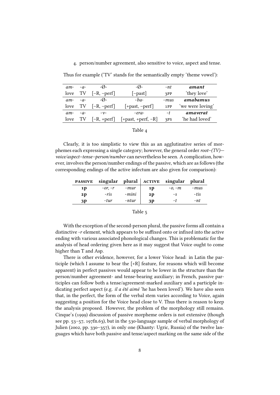#### 4. person/number agreement, also sensitive to voice, aspect and tense.

| $am-$ | $-a$ - | $-\mathcal{O}$ - | $-\varnothing$ -     | -nt    | amant            |
|-------|--------|------------------|----------------------|--------|------------------|
| love  | TV     | $[-R, -perf]$    | $[-past]$            | 3PP    | 'they love'      |
| $am-$ | $-a$ - | $-\varnothing$ - | $-ba-$               | $-mus$ | amabamus         |
| love  | TV     | $[-R, -perf]$    | $[+past, -perf]$     | 1PP    | 'we were loving' |
| $am-$ | $-a$ - | $-\nu$ -         | -era-                | -t     | amaverat         |
| love  | - TV   | $[-R, +perf]$    | $[+past, +perf, -R]$ | 3PS    | 'he had loved'   |

Thus for example ('TV' stands for the semantically empty 'theme vowel'):

| DK<br>r. |  |
|----------|--|
|----------|--|

Clearly, it is too simplistic to view this as an agglutinative series of morphemes each expressing a single category; however, the general order root–(TV) voice/aspect–tense–person/number can nevertheless be seen. A complication, however, involves the person/number endings of the passive, which are as follows (the corresponding endings of the active infectum are also given for comparison):

|                |           |       |    | <b>PASSIVE</b> singular plural ACTIVE singular plural |      |
|----------------|-----------|-------|----|-------------------------------------------------------|------|
| 1p             | $-0r, -r$ | -mur  | 1D | $-0, -m$                                              | -mus |
| 2 <sub>p</sub> | -ris      | -mini | 2D | -S                                                    | -tis |
| 3P             | -tur      | -ntur | 3P | -t                                                    | -nt  |

#### Table 5

With the exception of the second-person plural, the passive forms all contain a distinctive  $-r$  element, which appears to be suffixed onto or infixed into the active ending with various associated phonological changes. This is problematic for the analysis of head ordering given here as it may suggest that Voice ought to come higher than T and Asp.

There is other evidence, however, for a lower Voice head: in Latin the participle (which I assume to bear the [+R] feature, for reasons which will become apparent) in perfect passives would appear to be lower in the structure than the person/number agreement- and tense-bearing auxiliary; in French, passive participles can follow both a tense/agreement-marked auxiliary and a participle indicating perfect aspect (e.g. il a été aimé 'he has been loved'). We have also seen that, in the perfect, the form of the verbal stem varies according to Voice, again suggesting a position for the Voice head close to V. Thus there is reason to keep the analysis proposed. However, the problem of the morphology still remains. Cinque's (1999) discussion of passive morpheme orders is not extensive (though see pp. 53–57, 197fn.63), but in the 530-language sample of verbal morphology of Julien (2002, pp. 330–357), in only one (Khanty: Ugric, Russia) of the twelve languages which have both passive and tense/aspect marking on the same side of the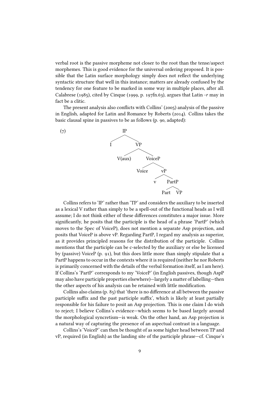verbal root is the passive morpheme not closer to the root than the tense/aspect morphemes. This is good evidence for the universal ordering proposed. It is possible that the Latin surface morphology simply does not reflect the underlying syntactic structure that well in this instance; matters are already confused by the tendency for one feature to be marked in some way in multiple places, after all. Calabrese (1985), cited by Cinque (1999, p. 197fn.63), argues that Latin -r may in fact be a clitic.

The present analysis also conflicts with Collins' (2005) analysis of the passive in English, adapted for Latin and Romance by Roberts (2014). Collins takes the basic clausal spine in passives to be as follows (p. 90, adapted):



Collins refers to 'IP' rather than 'TP' and considers the auxiliary to be inserted as a lexical V rather than simply to be a spell-out of the functional heads as I will assume; I do not think either of these differences constitutes a major issue. More significantly, he posits that the participle is the head of a phrase 'PartP' (which moves to the Spec of VoiceP), does not mention a separate Asp projection, and posits that VoiceP is above vP. Regarding PartP, I regard my analysis as superior, as it provides principled reasons for the distribution of the participle. Collins mentions that the participle can be c-selected by the auxiliary or else be licensed by (passive) VoiceP (p. 91), but this does little more than simply stipulate that a PartP happens to occur in the contexts where it is required (neither he nor Roberts is primarily concerned with the details of the verbal formation itself, as I am here). If Collins's 'PartP' corresponds to my 'VoiceP' (in English passives, though AspP may also have participle properties elsewhere)—largely a matter of labelling—then the other aspects of his analysis can be retained with little modification.

Collins also claims  $(p, 85)$  that 'there is no difference at all between the passive participle suffix and the past participle suffix', which is likely at least partially responsible for his failure to posit an Asp projection. This is one claim I do wish to reject; I believe Collins's evidence—which seems to be based largely around the morphological syncretism—is weak. On the other hand, an Asp projection is a natural way of capturing the presence of an aspectual contrast in a language.

Collins's 'VoiceP' can then be thought of as some higher head between TP and vP, required (in English) as the landing site of the participle phrase—cf. Cinque's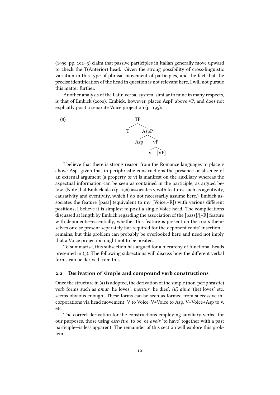(1999, pp. 102–3) claim that passive participles in Italian generally move upward to check the T(Anterior) head. Given the strong possibility of cross-linguistic variation in this type of phrasal movement of participles, and the fact that the precise identification of the head in question is not relevant here, I will not pursue this matter further.

Another analysis of the Latin verbal system, similar to mine in many respects, is that of Embick (2000). Embick, however, places AspP above vP, and does not explicitly posit a separate Voice projection (p. 195):



I believe that there is strong reason from the Romance languages to place v above Asp, given that in periphrastic constructions the presence or absence of an external argument (a property of v) is manifest on the auxiliary whereas the aspectual information can be seen as contained in the participle, as argued below. (Note that Embick also (p. 196) associates v with features such as agentivity, causativity and eventivity, which I do not necessarily assume here.) Embick associates the feature [pass] (equivalent to my [Voice: $+R$ ]) with various different positions; I believe it is simplest to posit a single Voice head. The complications discussed at length by Embick regarding the association of the [pass]/[+R] feature with deponents—essentially, whether this feature is present on the roots themselves or else present separately but required for the deponent roots' insertion remains, but this problem can probably be overlooked here and need not imply that a Voice projection ought not to be posited.

To summarise, this subsection has argued for a hierarchy of functional heads presented in  $(5)$ . The following subsections will discuss how the different verbal forms can be derived from this.

#### 2.2 Derivation of simple and compound verb constructions

Once the structure in  $(5)$  is adopted, the derivation of the simple (non-periphrastic) verb forms such as amat 'he loves', moritur 'he dies', (il) aime '(he) loves' etc. seems obvious enough. These forms can be seen as formed from successive incorporations via head movement: V to Voice, V+Voice to Asp, V+Voice+Asp to v, etc.

The correct derivation for the constructions employing auxiliary verbs—for our purposes, those using esse/être 'to be' or avoir 'to have' together with a past participle—is less apparent. The remainder of this section will explore this problem.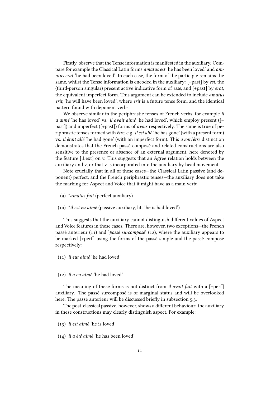Firstly, observe that the Tense information is manifested in the auxiliary. Compare for example the Classical Latin forms amatus est 'he has been loved' and amatus erat 'he had been loved'. In each case, the form of the participle remains the same, whilst the Tense information is encoded in the auxiliary: [-past] by est, the (third-person singular) present active indicative form of esse, and [+past] by erat, the equivalent imperfect form. This argument can be extended to include amatus erit, 'he will have been loved', where erit is a future tense form, and the identical pattern found with deponent verbs.

We observe similar in the periphrastic tenses of French verbs, for example *il* a aimé 'he has loved' vs. il avait aimé 'he had loved', which employ present ([– past]) and imperfect ([+past]) forms of avoir respectively. The same is true of periphrastic tenses formed with  $\hat{e}$ tre, e.g. *il est allé* 'he has gone' (with a present form) vs. il était allé 'he had gone' (with an imperfect form). This avoir/être distinction demonstrates that the French passé composé and related constructions are also sensitive to the presence or absence of an external argument, here denoted by the feature  $[\pm \text{ext}]$  on v. This suggests that an Agree relation holds between the auxiliary and v, or that v is incorporated into the auxiliary by head movement.

Note crucially that in all of these cases—the Classical Latin passive (and deponent) perfect, and the French periphrastic tenses—the auxiliary does not take the marking for Aspect and Voice that it might have as a main verb:

- (9) \*amatus fuit (perfect auxiliary)
- (10) \*il est eu aimé (passive auxiliary, lit. 'he is had loved')

This suggests that the auxiliary cannot distinguish different values of Aspect and Voice features in these cases. There are, however, two exceptions—the French passé anterieur (11) and 'passé surcomposé' (12), where the auxiliary appears to be marked [+perf] using the forms of the passé simple and the passé composé respectively:

(11) il eut aimé 'he had loved'

#### (12) il a eu aimé 'he had loved'

The meaning of these forms is not distinct from *il avait fait* with a  $[-perf]$ auxiliary. The passé surcomposé is of marginal status and will be overlooked here. The passé anterieur will be discussed briefly in subsection 5.3.

The post-classical passive, however, shows a different behaviour: the auxiliary in these constructions may clearly distinguish aspect. For example:

- (13) il est aimé 'he is loved'
- (14) il a été aimé 'he has been loved'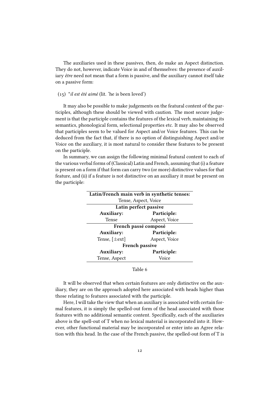The auxiliaries used in these passives, then, do make an Aspect distinction. They do not, however, indicate Voice in and of themselves: the presence of auxiliary être need not mean that a form is passive, and the auxiliary cannot itself take on a passive form:

#### (15) \*il est été aimé (lit. 'he is been loved')

It may also be possible to make judgements on the featural content of the participles, although these should be viewed with caution. The most secure judgement is that the participle contains the features of the lexical verb, maintaining its semantics, phonological form, selectional properties etc. It may also be observed that participles seem to be valued for Aspect and/or Voice features. This can be deduced from the fact that, if there is no option of distinguishing Aspect and/or Voice on the auxiliary, it is most natural to consider these features to be present on the participle.

In summary, we can assign the following minimal featural content to each of the various verbal forms of (Classical) Latin and French, assuming that (i) a feature is present on a form if that form can carry two (or more) distinctive values for that feature, and (ii) if a feature is not distinctive on an auxiliary it must be present on the participle:

|                    | Latin/French main verb in synthetic tenses: |
|--------------------|---------------------------------------------|
|                    | Tense, Aspect, Voice                        |
|                    | Latin perfect passive                       |
| <b>Auxiliary:</b>  | Participle:                                 |
| Tense              | Aspect, Voice                               |
|                    | French passé composé                        |
| <b>Auxiliary:</b>  | Participle:                                 |
| Tense, $[\pm ext]$ | Aspect, Voice                               |
|                    | <b>French passive</b>                       |
| <b>Auxiliary:</b>  | Participle:                                 |
| Tense, Aspect      | Voice                                       |

#### Table 6

It will be observed that when certain features are only distinctive on the auxiliary, they are on the approach adopted here associated with heads higher than those relating to features associated with the participle.

Here, I will take the view that when an auxiliary is associated with certain formal features, it is simply the spelled-out form of the head associated with those features with no additional semantic content. Specifically, each of the auxiliaries above is the spell-out of T when no lexical material is incorporated into it. However, other functional material may be incorporated or enter into an Agree relation with this head. In the case of the French passive, the spelled-out form of T is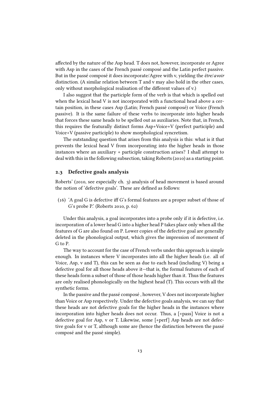affected by the nature of the Asp head. T does not, however, incorporate or Agree with Asp in the cases of the French passé composé and the Latin perfect passive. But in the passé composé it does incorporate/Agree with v, yielding the être/avoir distinction. (A similar relation between T and v may also hold in the other cases, only without morphological realisation of the different values of v.)

I also suggest that the participle form of the verb is that which is spelled out when the lexical head V is not incorporated with a functional head above a certain position, in these cases Asp (Latin; French passé composé) or Voice (French passive). It is the same failure of these verbs to incorporate into higher heads that forces these same heads to be spelled out as auxiliaries. Note that, in French, this requires the featurally distinct forms Asp+Voice+V (perfect participle) and Voice+V (passive participle) to show morphological syncretism.

The outstanding question that arises from this analysis is this: what is it that prevents the lexical head V from incorporating into the higher heads in those instances where an auxiliary + participle construction arises? I shall attempt to deal with this in the following subsection, taking Roberts (2010) as a starting point.

#### 2.3 Defective goals analysis

Roberts' (2010, see especially ch. 3) analysis of head movement is based around the notion of 'defective goals'. These are defined as follows:

 $(16)$  'A goal G is defective iff G's formal features are a proper subset of those of G's probe P.' (Roberts 2010, p. 62)

Under this analysis, a goal incorporates into a probe only if it is defective, i.e. incorporation of a lower head G into a higher head P takes place only when all the features of G are also found on P. Lower copies of the defective goal are generally deleted in the phonological output, which gives the impression of movement of G to P.

The way to account for the case of French verbs under this approach is simple enough. In instances where V incorporates into all the higher heads (i.e. all of Voice, Asp, v and T), this can be seen as due to each head (including V) being a defective goal for all those heads above it—that is, the formal features of each of these heads form a subset of those of those heads higher than it. Thus the features are only realised phonologically on the highest head (T). This occurs with all the synthetic forms.

In the passive and the passé composé , however, V does not incorporate higher than Voice or Asp respectively. Under the defective goals analysis, we can say that these heads are not defective goals for the higher heads in the instances where incorporation into higher heads does not occur. Thus, a [+pass] Voice is not a defective goal for Asp, v or T. Likewise, some [+perf] Asp heads are not defective goals for v or T, although some are (hence the distinction between the passé composé and the passé simple).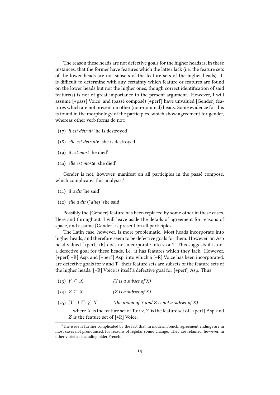The reason these heads are not defective goals for the higher heads is, in these instances, that the former have features which the latter lack (i.e. the feature sets of the lower heads are not subsets of the feature sets of the higher heads). It is difficult to determine with any certainty which feature or features are found on the lower heads but not the higher ones, though correct identification of said feature(s) is not of great importance to the present argument. However, I will assume [+pass] Voice and (passé composé) [+perf] have unvalued [Gender] features which are not present on other (non-nominal) heads. Some evidence for this is found in the morphology of the participles, which show agreement for gender, whereas other verb forms do not:

- (17) il est détruit 'he is destroyed'
- (18) elle est détruite 'she is destroyed'
- (19) il est mort 'he died'
- (20) elle est morte 'she died'

Gender is not, however, manifest on all participles in the passé composé, which complicates this analysis:<sup>2</sup>

- $(21)$  *il a dit* 'he said'
- (22) elle a dit (\*dite) 'she said'

Possibly the [Gender] feature has been replaced by some other in these cases. Here and throughout, I will leave aside the details of agreement for reasons of space, and assume [Gender] is present on all participles.

The Latin case, however, is more problematic. Most heads incorporate into higher heads, and therefore seem to be defective goals for them. However, an Asp head valued [+perf, +R] does not incorporate into v or T. This suggests it is not a defective goal for these heads, i.e. it has features which they lack. However, [+perf, –R] Asp, and [–perf] Asp into which a [–R] Voice has been incorporated, are defective goals for v and T—their feature sets are subsets of the feature sets of the higher heads. [–R] Voice is itself a defective goal for [+perf] Asp. Thus:

- (23)  $Y \subseteq X$  (Y is a subset of X)
- (24)  $Z \subset X$  (Z is a subset of X)
- (25)  $(Y \cup Z) \nsubseteq X$  (the union of Y and Z is not a subset of X)

— where X is the feature set of T or v, Y is the feature set of  $\lceil +\text{perf} \rceil$  Asp and  $Z$  is the feature set of  $[+R]$  Voice.

 $2^2$ The issue is further complicated by the fact that, in modern French, agreement endings are in most cases not pronounced, for reasons of regular sound change. They are retained, however, in other varieties including older French.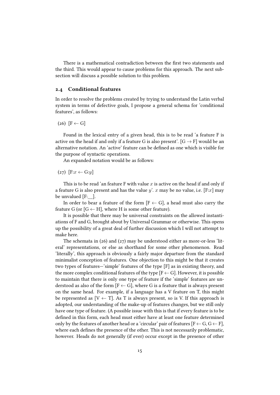There is a mathematical contradiction between the first two statements and the third. This would appear to cause problems for this approach. The next subsection will discuss a possible solution to this problem.

#### 2.4 Conditional features

In order to resolve the problems created by trying to understand the Latin verbal system in terms of defective goals, I propose a general schema for 'conditional features', as follows:

 $(26)$   $[F \leftarrow G]$ 

Found in the lexical entry of a given head, this is to be read 'a feature F is active on the head if and only if a feature G is also present'.  $[G \rightarrow F]$  would be an alternative notation. An 'active' feature can be dened as one which is visible for the purpose of syntactic operations.

An expanded notation would be as follows:

 $(27)$   $[$ F: $x \leftarrow G: y]$ 

This is to be read 'an feature F with value  $x$  is active on the head if and only if a feature G is also present and has the value y'. x may be no value, i.e. [F:x] may be unvalued [F: 1.].

In order to bear a feature of the form  $[F \leftarrow G]$ , a head must also carry the feature G (or  $[G \leftarrow H]$ , where H is some other feature).

It is possible that there may be universal constraints on the allowed instantiations of F and G, brought about by Universal Grammar or otherwise. This opens up the possibility of a great deal of further discussion which I will not attempt to make here.

The schemata in (26) and (27) may be understood either as more-or-less 'literal' representations, or else as shorthand for some other phenomenon. Read 'literally', this approach is obviously a fairly major departure from the standard minimalist conception of features. One objection to this might be that it creates two types of features—'simple' features of the type [F] as in existing theory, and the more complex conditional features of the type  $[F \leftarrow G]$ . However, it is possible to maintain that there is only one type of feature if the 'simple' features are understood as also of the form  $[F \leftarrow G]$ , where G is a feature that is always present on the same head. For example, if a language has a V feature on T, this might be represented as  $[V \leftarrow T]$ . As T is always present, so is V. If this approach is adopted, our understanding of the make-up of features changes, but we still only have one type of feature. (A possible issue with this is that if every feature is to be defined in this form, each head must either have at least one feature determined only by the features of another head or a 'circular' pair of features  $[F \leftarrow G, G \leftarrow F]$ , where each defines the presence of the other. This is not necessarily problematic, however. Heads do not generally (if ever) occur except in the presence of other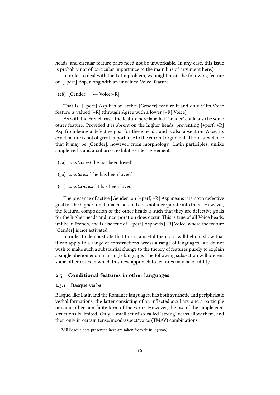heads, and circular feature pairs need not be unworkable. In any case, this issue is probably not of particular importance to the main line of argument here.)

In order to deal with the Latin problem, we might posit the following feature on [+perf] Asp, along with an unvalued Voice feature:

(28) [Gender:  $\leftarrow$  Voice:+R]

That is: [+perf] Asp has an active [Gender] feature if and only if its Voice feature is valued [+R] (through Agree with a lower [+R] Voice).

As with the French case, the feature here labelled 'Gender' could also be some other feature. Provided it is absent on the higher heads, preventing [+perf, +R] Asp from being a defective goal for these heads, and is also absent on Voice, its exact nature is not of great importance to the current argument. There is evidence that it may be [Gender], however, from morphology. Latin participles, unlike simple verbs and auxiliaries, exhibit gender agreement:

- (29) amatus est 'he has been loved'
- (30) amata est 'she has been loved'
- $(31)$  *amatum est* 'it has been loved'

The presence of active [Gender] on [+perf, +R] Asp means it is not a defective goal for the higher functional heads and does not incorporate into them. However, the featural composition of the other heads is such that they are defective goals for the higher heads and incorporation does occur. This is true of all Voice heads, unlike in French, and is also true of [+perf] Asp with [–R] Voice, where the feature [Gender] is not activated.

In order to demonstrate that this is a useful theory, it will help to show that it can apply to a range of constructions across a range of languages—we do not wish to make such a substantial change to the theory of features purely to explain a single phenomenon in a single language. The following subsection will present some other cases in which this new approach to features may be of utility.

#### 2.5 Conditional features in other languages

#### 2.5.1 Basque verbs

Basque, like Latin and the Romance languages, has both synthetic and periphrastic verbal formations, the latter consisting of an inflected auxiliary and a participle or some other non-finite form of the verb<sup>3</sup>. However, the use of the simple constructions is limited. Only a small set of so-called 'strong' verbs allow them, and then only in certain tense/mood/aspect/voice (TMAV) combinations:

<sup>&</sup>lt;sup>3</sup>All Basque data presented here are taken from de Rijk (2008).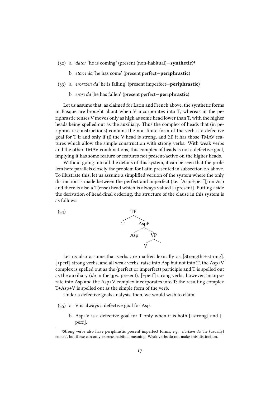- (32) a. *dator* 'he is coming' (present (non-habitual)-synthetic)<sup>4</sup>
	- b. *etorri da* 'he has come' (present perfect—**periphrastic**)
- (33) a. erortzen da 'he is falling' (present imperfect—periphrastic)
	- b. erori da 'he has fallen' (present perfect—periphrastic)

Let us assume that, as claimed for Latin and French above, the synthetic forms in Basque are brought about when V incorporates into T, whereas in the periphrastic tenses V moves only as high as some head lower than T, with the higher heads being spelled out as the auxiliary. Thus the complex of heads that (in periphrastic constructions) contains the non-finite form of the verb is a defective goal for T if and only if (i) the V head is strong, and (ii) it has those TMAV features which allow the simple construction with strong verbs. With weak verbs and the other TMAV combinations, this complex of heads is not a defective goal, implying it has some feature or features not present/active on the higher heads.

Without going into all the details of this system, it can be seen that the problem here parallels closely the problem for Latin presented in subsection 2.3 above. To illustrate this, let us assume a simplified version of the system where the only distinction is made between the perfect and imperfect (i.e. [Asp:±perf]) on Asp and there is also a T(ense) head which is always valued [+present]. Putting aside the derivation of head-final ordering, the structure of the clause in this system is as follows:



Let us also assume that verbs are marked lexically as [Strength: $\pm$ strong]. [+perf] strong verbs, and all weak verbs, raise into Asp but not into T; the Asp+V complex is spelled out as the (perfect or imperfect) participle and T is spelled out as the auxiliary (da in the 3ps. present). [–perf] strong verbs, however, incorporate into Asp and the Asp+V complex incorporates into T; the resulting complex T+Asp+V is spelled out as the simple form of the verb.

Under a defective goals analysis, then, we would wish to claim:

- (35) a. V is always a defective goal for Asp.
	- b. Asp+V is a defective goal for T only when it is both  $[+strong]$  and  $[$ perf].

<sup>&</sup>lt;sup>4</sup>Strong verbs also have periphrastic present imperfect forms, e.g. etortzen da 'he (usually) comes', but these can only express habitual meaning. Weak verbs do not make this distinction.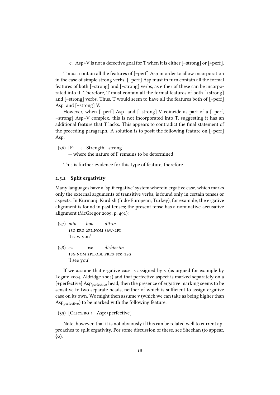c. Asp+V is not a defective goal for T when it is either  $[-strong]$  or  $[+perf]$ .

T must contain all the features of [–perf] Asp in order to allow incorporation in the case of simple strong verbs. [–perf] Asp must in turn contain all the formal features of both [+strong] and [–strong] verbs, as either of these can be incorporated into it. Therefore, T must contain all the formal features of both [+strong] and [–strong] verbs. Thus, T would seem to have all the features both of [–perf] Asp and [–strong] V.

However, when [–perf] Asp and [–strong] V coincide as part of a [–perf, –strong] Asp+V complex, this is not incorporated into T, suggesting it has an additional feature that T lacks. This appears to contradict the final statement of the preceding paragraph. A solution is to posit the following feature on [–perf] Asp:

(36) [F:  $\leftarrow$  Strength:–strong] — where the nature of F remains to be determined

This is further evidence for this type of feature, therefore.

#### 2.5.2 Split ergativity

Many languages have a 'split ergative' system wherein ergative case, which marks only the external arguments of transitive verbs, is found only in certain tenses or aspects. In Kurmanji Kurdish (Indo-European, Turkey), for example, the ergative alignment is found in past tenses; the present tense has a nominative-accusative alignment (McGregor 2009, p. 491):

- (37) min hon dit-in 1sg.erg 2pl.nom saw-2pl 'I saw you'
- $(38)$  ez we di-bin-im 1sg.nom 2pl.obl pres-see-1sg 'I see you'

If we assume that ergative case is assigned by v (as argued for example by Legate 2004, Aldridge 2004) and that perfective aspect is marked separately on a [+perfective] Asp<sub>perfective</sub> head, then the presence of ergative marking seems to be sensitive to two separate heads, neither of which is sufficient to assign ergative case on its own. We might then assume v (which we can take as being higher than Aspperfective) to be marked with the following feature:

(39)  $[Case:ERG \leftarrow Asp:+perfective]$ 

Note, however, that it is not obviously if this can be related well to current approaches to split ergativity. For some discussion of these, see Sheehan (to appear, §2).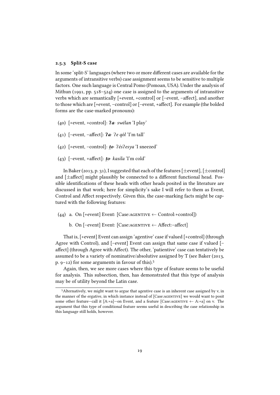#### 2.5.3 Split-S case

In some 'split-S' languages (where two or more different cases are available for the arguments of intransitive verbs) case assignment seems to be sensitive to multiple factors. One such language is Central Pomo (Pomoan, USA). Under the analysis of Mithun (1991, pp. 518–524) one case is assigned to the arguments of intransitive verbs which are semantically [+event, +control] or [-event, -affect], and another to those which are [+event, -control] or [-event, +affect]. For example (the bolded forms are the case-marked pronouns):

- (40) [+event, +control]:  $2a \cdot s$  wélan 'I play'
- (41) [–event, –affect]:  $2a \cdot 2e$  qól 'I'm tall'
- (42) [+event, -control]: **to**  $\frac{2}{5}$  esya 'I sneezed'
- (43)  $[-event, +affected]:\textbf{to} \cdot kasila$  'I'm cold'

In Baker (2013, p. 31), I suggested that each of the features [ $\pm$ event], [ $\pm$ control] and  $[\pm$ affect] might plausibly be connected to a different functional head. Possible identifications of these heads with other heads posited in the literature are discussed in that work; here for simplicity's sake I will refer to them as Event, Control and Affect respectively. Given this, the case-marking facts might be captured with the following features:

- (44) a. On [+event] Event: [Case:AGENTIVE ← Control:+control])
	- b. On  $[-event]$  Event:  $[Case:AGENTIVE \leftarrow After: affect]$

That is, [+event] Event can assign 'agentive' case if valued [+control] (through Agree with Control), and [–event] Event can assign that same case if valued [– affect] (through Agree with Affect). The other, 'patientive' case can tentatively be assumed to be a variety of nominative/absolutive assigned by T (see Baker (2013, p.  $9-12$ ) for some arguments in favour of this).<sup>5</sup>

Again, then, we see more cases where this type of feature seems to be useful for analysis. This subsection, then, has demonstrated that this type of analysis may be of utility beyond the Latin case.

 $<sup>5</sup>$  Alternatively, we might want to argue that agentive case is an inherent case assigned by v, in</sup> the manner of the ergative, in which instance instead of [Case:agentive] we would want to posit some other feature—call it [A:+a]—on Event, and a feature [Case:AGENTIVE  $\leftarrow$  A:+a] on v. The argument that this type of conditional feature seems useful in describing the case relationship in this language still holds, however.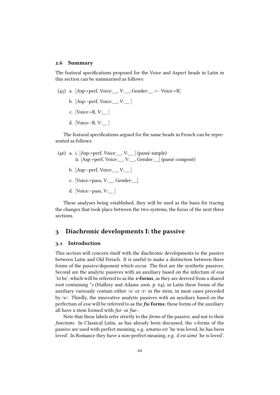#### 2.6 Summary

The featural specifications proposed for the Voice and Aspect heads in Latin in this section can be summarised as follows:

- (45) a. [Asp:+perf, Voice: , V: , Gender:  $\leftarrow$  Voice:+R]
	- b.  $[Asp:-perf, Voice: , V: ]$
	- c. [Voice:+R, V:\_\_ ]
	- d. [Voice:–R, V:\_\_ ]

The featural specifications argued for the same heads in French can be represented as follows:

- (46) a. i. [Asp:+perf, Voice:  $V:$  [ (passé simple) ii. [Asp:+perf, Voice:\_\_, V:\_\_, Gender:\_\_] (passé composé)
	- b. [Asp:–perf, Voice:\_\_, V:\_\_ ]
	- c. [Voice:+pass, V:\_\_, Gender:\_\_]
	- d. [Voice:–pass,  $V:$

These analyses being established, they will be used as the basis for tracing the changes that took place between the two systems, the focus of the next three sections.

#### 3 Diachronic developments I: the passive

#### 3.1 Introduction

This section will concern itself with the diachronic developments to the passive between Latin and Old French. It is useful to make a distinction between three forms of the passive/deponent which occur. The first are the synthetic passives. Second are the analytic passives with an auxiliary based on the infectum of esse 'to be', which will be referred to as the s-forms, as they are derived from a shared root containing \*s (Mallory and Adams 2006, p. 64); in Latin these forms of the auxiliary variously contain either /s/ or /r/ in the stem, in most cases preceded by /e/. Thirdly, the innovative analytic passives with an auxiliary based on the perfectum of esse will be referred to as the  $fu$ -forms; these forms of the auxiliary all have a stem formed with fui- or fue-.

Note that these labels refer strictly to the forms of the passive, and not to their functions. In Classical Latin, as has already been discussed, the s-forms of the passive are used with perfect meaning, e.g. amatus est 'he was loved, he has been loved'. In Romance they have a non-perfect meaning, e.g. il est aimé 'he is loved'.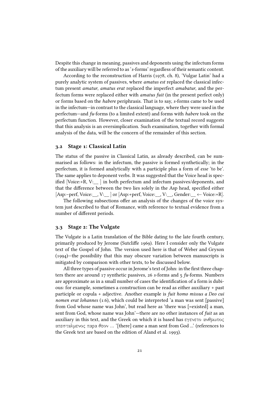Despite this change in meaning, passives and deponents using the infectum forms of the auxiliary will be referred to as 's-forms' regardless of their semantic content.

According to the reconstruction of Harris (1978, ch. 8), 'Vulgar Latin' had a purely analytic system of passives, where amatus est replaced the classical infectum present amatur, amatus erat replaced the imperfect amabatur, and the perfectum forms were replaced either with amatus fuit (in the present perfect only) or forms based on the habere periphrasis. That is to say, s-forms came to be used in the infectum—in contrast to the classical language, where they were used in the perfectum—and fu-forms (to a limited extent) and forms with habere took on the perfectum function. However, closer examination of the textual record suggests that this analysis is an oversimplication. Such examination, together with formal analysis of the data, will be the concern of the remainder of this section.

#### 3.2 Stage 1: Classical Latin

The status of the passive in Classical Latin, as already described, can be summarised as follows: in the infectum, the passive is formed synthetically; in the perfectum, it is formed analytically with a participle plus a form of esse 'to be'. The same applies to deponent verbs. It was suggested that the Voice head is specified [Voice: $+R$ , V:  $\parallel$  ] in both perfectum and infectum passives/deponents, and that the difference between the two lies solely in the Asp head, specified either [Asp:–perf, Voice:  $\Box$ , V:  $\Box$  or [Asp:+perf, Voice:  $\Box$ , V:  $\Box$  Gender:  $\div$  Voice:+R].

The following subsections offer an analysis of the changes of the voice system just described to that of Romance, with reference to textual evidence from a number of different periods.

#### 3.3 Stage 2: The Vulgate

The Vulgate is a Latin translation of the Bible dating to the late fourth century, primarily produced by Jerome (Sutcliffe 1969). Here I consider only the Vulgate text of the Gospel of John. The version used here is that of Weber and Gryson (1994)—the possibility that this may obscure variation between manuscripts is mitigated by comparison with other texts, to be discussed below.

All three types of passive occur in Jerome's text of John: in the first three chapters there are around 17 synthetic passives, 26 s-forms and 5 fu-forms. Numbers are approximate as in a small number of cases the identification of a form is dubious: for example, sometimes a construction can be read as either auxiliary + past participle or copula + adjective. Another example is fuit homo missus a Deo cui nomen erat Iohannes (1:6), which could be interpreted 'a man was sent [passive] from God whose name was John', but read here as 'there was [=existed] a man, sent from God, whose name was John'—there are no other instances of fuit as an auxiliary in this text, and the Greek on which it is based has εγενετο ανθρωπος απεσταλμενος παρα θεον ... '[there] came a man sent from God ...' (references to the Greek text are based on the edition of Aland et al. 1993).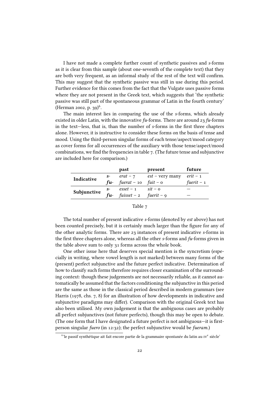I have not made a complete further count of synthetic passives and s-forms as it is clear from this sample (about one-seventh of the complete text) that they are both very frequent, as an informal study of the rest of the text will confirm. This may suggest that the synthetic passive was still in use during this period. Further evidence for this comes from the fact that the Vulgate uses passive forms where they are not present in the Greek text, which suggests that 'the synthetic passive was still part of the spontaneous grammar of Latin in the fourth century' (Herman 2002, p. 39)<sup>6</sup>.

The main interest lies in comparing the use of the s-forms, which already existed in older Latin, with the innovative  $fu$ -forms. There are around 23  $fu$ -forms in the text-less, that is, than the number of s-forms in the first three chapters alone. However, it is instructive to consider these forms on the basis of tense and mood. Using the third-person singular forms of each tense/aspect/mood category as cover forms for all occurrences of the auxiliary with those tense/aspect/mood combinations, we find the frequencies in table  $7$ . (The future tense and subjunctive are included here for comparison.)

|             |       | past                                     | present                 | future      |
|-------------|-------|------------------------------------------|-------------------------|-------------|
| Indicative  | $S^-$ | $erat - 7$                               | $est$ – very many       | $erit-1$    |
|             | fu-   | fuerat – $10$                            | $fuit - o$              | fuerit $-1$ |
|             | $S^-$ | $\ensuremath{\textit{esset}}\xspace - 1$ | $s$ it – o              |             |
| Subjunctive | fu-   | fuisset – $2$                            | fuerit – $\mathfrak{g}$ |             |

| ı. |
|----|
|----|

The total number of present indicative s-forms (denoted by est above) has not been counted precisely, but it is certainly much larger than the figure for any of the other analytic forms. There are 23 instances of present indicative s-forms in the first three chapters alone, whereas all the other s-forms and  $fu$ -forms given in the table above sum to only 31 forms across the whole book.

One other issue here that deserves special mention is the syncretism (especially in writing, where vowel length is not marked) between many forms of the (present) perfect subjunctive and the future perfect indicative. Determination of how to classify such forms therefore requires closer examination of the surrounding context: though these judgements are not necessarily reliable, as it cannot automatically be assumed that the factors conditioning the subjunctive in this period are the same as those in the classical period described in modern grammars (see Harris (1978, chs. 7, 8) for an illustration of how developments in indicative and subjunctive paradigms may differ). Comparison with the original Greek text has also been utilised. My own judgement is that the ambiguous cases are probably all perfect subjunctives (not future perfects), though this may be open to debate. (The one form that I have designated a future perfect is not ambiguous—it is firstperson singular fuero (in 12:32); the perfect subjunctive would be fueram.)

 $^6$ 'le passif synthétique ait fait encore partie de la grammaire spontanée du latin au  $\mathrm{rv}^{\text{e}}$  siècle $^{\text{e}}$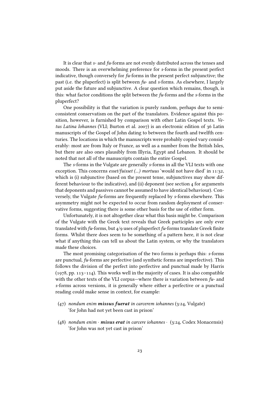It is clear that s- and fu-forms are not evenly distributed across the tenses and moods. There is an overwhelming preference for s-forms in the present perfect indicative, though conversely for fu-forms in the present perfect subjunctive; the past (i.e. the pluperfect) is split between  $fu$ - and s-forms. As elsewhere, I largely put aside the future and subjunctive. A clear question which remains, though, is this: what factor conditions the split between the  $fu$ -forms and the s-forms in the pluperfect?

One possibility is that the variation is purely random, perhaps due to semiconsistent conservatism on the part of the translators. Evidence against this position, however, is furnished by comparison with other Latin Gospel texts. Vetus Latina Iohannes (VLI; Burton et al. 2007) is an electronic edition of 36 Latin manuscripts of the Gospel of John dating to between the fourth and twelfth centuries. The locations in which the manuscripts were probably copied vary considerably: most are from Italy or France, as well as a number from the British Isles, but there are also ones plausibly from Illyria, Egypt and Lebanon. It should be noted that not all of the manuscripts contain the entire Gospel.

The s-forms in the Vulgate are generally s-forms in all the VLI texts with one exception. This concerns esset/fuisset (...) mortuus 'would not have died' in 11:32, which is (i) subjunctive (based on the present tense, subjunctives may show different behaviour to the indicative), and (ii) deponent (see section 4 for arguments that deponents and passives cannot be assumed to have identical behaviour). Conversely, the Vulgate fu-forms are frequently replaced by s-forms elsewhere. This asymmetry might not be expected to occur from random deployment of conservative forms, suggesting there is some other basis for the use of either form.

Unfortunately, it is not altogether clear what this basis might be. Comparison of the Vulgate with the Greek text reveals that Greek participles are only ever translated with  $fu$ -forms, but  $4/9$  uses of pluperfect  $fu$ -forms translate Greek finite forms. Whilst there does seem to be something of a pattern here, it is not clear what if anything this can tell us about the Latin system, or why the translators made these choices.

The most promising categorisation of the two forms is perhaps this: s-forms are punctual, fu-forms are perfective (and synthetic forms are imperfective). This follows the division of the perfect into perfective and punctual made by Harris (1978, pp. 113–114). This works well in the majority of cases. It is also compatible with the other texts of the VLI corpus—where there is variation between  $fu$ - and s-forms across versions, it is generally where either a perfective or a punctual reading could make sense in context, for example:

- $(47)$  nondum enim **missus fuerat** in carcerem iohannes  $(3:24, \text{Vulgate})$ 'for John had not yet been cast in prison'
- (48) nondum enim · **misus erat** in carcere iohannes · (3:24, Codex Monacensis) 'for John was not yet cast in prison'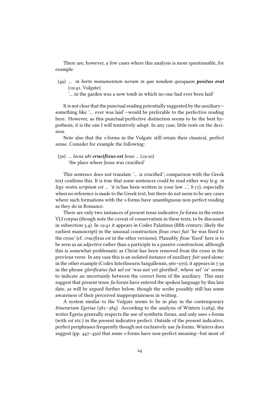There are, however, a few cases where this analysis is more questionable, for example:

 $(49)$  ... in horto monumentum novum in quo nondum quisquam **positus erat** (19:41, Vulgate)

'... in the garden was a new tomb in which no-one had ever been laid'

It is not clear that the punctual reading potentially suggested by the auxiliary something like '... ever was laid'—would be preferable to the perfective reading here. However, as this punctual/perfective distinction seems to be the best hypothesis, it is the one I will tentatively adopt. In any case, little rests on the decision.

Note also that the s-forms in the Vulgate still retain their classical, perfect sense. Consider for example the following:

 $(50)$  ... locus ubi crucifixus est Iesus ...  $(19:20)$ 'the place where Jesus was crucified'

This sentence does not translate '... is crucified'; comparison with the Greek text confirms this. It is true that some sentences could be read either way (e.g. in lege vestra scriptum est ... 'it is/has been written in your law ...', 8:17), especially when no reference is made to the Greek text, but there do not seem to be any cases where such formations with the s-forms have unambiguous non-perfect reading as they do in Romance.

There are only two instances of present tense indicative  $fu$ -forms in the entire VLI corpus (though note the caveat of conservatism in these texts, to be discussed in subsection 3.4). In 19:41 it appears in Codex Palatinus (fifth century; likely the earliest manuscript) in the unusual construction *fixus cruci fuit* 'he was fixed to the cross' (cf. *crucifixus est* in the other versions). Plausibly *fixus* 'fixed' here is to be seen as an adjective rather than a participle in a passive construction, although this is somewhat problematic as Christ has been removed from the cross in the previous verse. In any case this is an isolated instance of auxiliary fuit used alone: in the other example (Codex Interlinearis Sangallensis, 960–970), it appears in 7:39 in the phrase glorificatus fuit uel est 'was not yet glorified', where uel 'or' seems to indicate an uncertainly between the correct form of the auxiliary. This may suggest that present tense  $fu$ -forms have entered the spoken language by this late date, as will be argued further below, though the scribe possibly still has some awareness of their perceived inappropriateness in writing.

A system similar to the Vulgate seems to be in play in the contemporary Itinerarium Egeriae (381–384). According to the analysis of Winters (1984), the writer Egeria generally respects the use of synthetic forms, and only uses s-forms (with est etc.) in the present indicative perfect. Outside of the present indicative, perfect periphrases frequently though not exclusively use fu-forms. Winters does suggest (pp. 447–450) that some s-forms have non-perfect meaning—but most of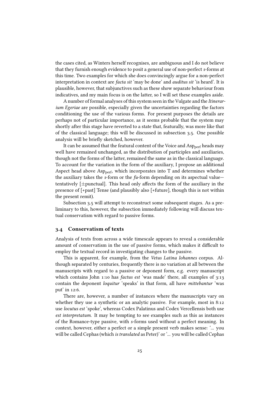the cases cited, as Winters herself recognises, are ambiguous and I do not believe that they furnish enough evidence to posit a general use of non-perfect s-forms at this time. Two examples for which she does convincingly argue for a non-perfect interpretation in context are facta sit 'may be done' and auditus sit 'is heard'. It is plausible, however, that subjunctives such as these show separate behaviour from indicatives, and my main focus is on the latter, so I will set these examples aside.

A number of formal analyses of this system seen in the Vulgate and the Itinerarium Egeriae are possible, especially given the uncertainties regarding the factors conditioning the use of the various forms. For present purposes the details are perhaps not of particular importance, as it seems probable that the system may shortly after this stage have reverted to a state that, featurally, was more like that of the classical language; this will be discussed in subsection 3.5. One possible analysis will be briefly sketched, however.

It can be assumed that the featural content of the Voice and Asp<sub>perf</sub> heads may well have remained unchanged, as the distribution of participles and auxiliaries, though not the forms of the latter, remained the same as in the classical language. To account for the variation in the form of the auxiliary, I propose an additional Aspect head above Asp<sub>perf</sub>, which incorporates into T and determines whether the auxiliary takes the s-form or the  $fu$ -form depending on its aspectual value tentatively  $[\pm$ punctual]. This head only affects the form of the auxiliary in the presence of [+past] Tense (and plausibly also [+future], though this is not within the present remit).

Subsection 3.5 will attempt to reconstruct some subsequent stages. As a preliminary to this, however, the subsection immediately following will discuss textual conservatism with regard to passive forms.

#### 3.4 Conservatism of texts

Analysis of texts from across a wide timescale appears to reveal a considerable amount of conservatism in the use of passive forms, which makes it difficult to employ the textual record in investigating changes to the passive.

This is apparent, for example, from the Vetus Latina Iohannes corpus. Although separated by centuries, frequently there is no variation at all between the manuscripts with regard to a passive or deponent form, e.g. every manuscript which contains John 1:10 has *factus est* 'was made' there, all examples of 3:13 contain the deponent loquitur 'speaks' in that form, all have mittebantur 'was put' in 12:6.

There are, however, a number of instances where the manuscripts vary on whether they use a synthetic or an analytic passive. For example, most in 8:12 use locutus est 'spoke', whereas Codex Palatinus and Codex Vercellensis both use est interpretatum. It may be tempting to see examples such as this as instances of the Romance-type passive, with s-forms used without a perfect meaning. In context, however, either a perfect or a simple present verb makes sense: '... you will be called Cephas (which is translated as Peter)' or '... you will be called Cephas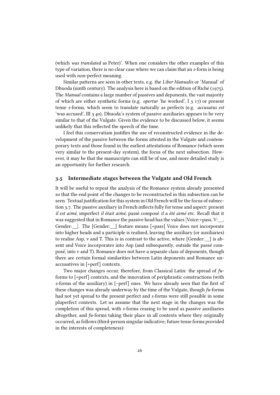(which was translated as Peter)'. When one considers the other examples of this type of variation, there is no clear case where we can claim that an s-form is being used with non-perfect meaning.

Similar patterns are seen in other texts, e.g. the Liber Manualis or 'Manual' of Dhuoda (ninth century). The analysis here is based on the edition of Riché (1975). The Manual contains a large number of passives and deponents, the vast majority of which are either synthetic forms (e.g. opertur 'he worked', I 3 17) or present tense s-forms, which seem to translate naturally as perfects (e.g. accusatus est 'was accused', III 3 40). Dhuoda's system of passive auxiliaries appears to be very similar to that of the Vulgate. Given the evidence to be discussed below, it seems unlikely that this reflected the speech of the time.

I feel this conservatism justifies the use of reconstructed evidence in the development of the passive between the forms attested in the Vulgate and contemporary texts and those found in the earliest attestations of Romance (which seem very similar to the present-day system), the focus of the next subsection. However, it may be that the manuscripts can still be of use, and more detailed study is an opportunity for further research.

#### 3.5 Intermediate stages between the Vulgate and Old French

It will be useful to repeat the analysis of the Romance system already presented so that the end point of the changes to be reconstructed in this subsection can be seen. Textual justification for this system in Old French will be the focus of subsection 3.7. The passive auxiliary in French inflects fully for tense and aspect: present il est aimé, imperfect il était aimé, passé composé il a été aimé etc. Recall that it was suggested that in Romance the passive head has the values [Voice:+pass, V: $\,$ , Gender:  $\Box$ . The [Gender:  $\Box$ ] feature means [+pass] Voice does not incorporate into higher heads and a participle is realised, leaving the auxiliary (or auxiliaries) to realise Asp, v and T. This is in contrast to the active, where [Gender:\_\_] is absent and Voice incorporates into Asp (and subsequently, outside the passé composé, into v and T). Romance does not have a separate class of deponents, though there are certain formal similarities between Latin deponents and Romance unaccusatives in [+perf] contexts.

Two major changes occur, therefore, from Classical Latin: the spread of fuforms to [+perf] contexts, and the innovation of periphrastic constructions (with s-forms of the auxiliary) in [–perf] ones. We have already seen that the first of these changes was already underway by the time of the Vulgate, though  $fu$ -forms had not yet spread to the present perfect and s-forms were still possible in some pluperfect contexts. Let us assume that the next stage in the changes was the completion of this spread, with s-forms ceasing to be used as passive auxiliaries altogether, and fu-forms taking their place in all contexts where they originally occurred, as follows (third-person singular indicative; future tense forms provided in the interests of completeness):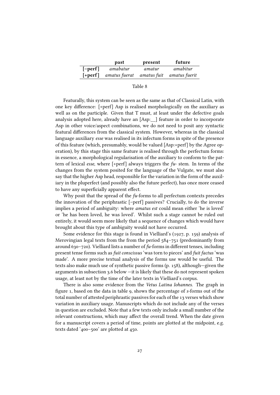|           | past                                              | present | future   |
|-----------|---------------------------------------------------|---------|----------|
| $[-perf]$ | amabatur                                          | amatur  | amabitur |
|           | $[+perf]$ amatus fuerat amatus fuit amatus fuerit |         |          |

| Table<br>⌒ |  |
|------------|--|
|------------|--|

Featurally, this system can be seen as the same as that of Classical Latin, with one key difference:  $[+perf]$  Asp is realised morphologically on the auxiliary as well as on the participle. Given that T must, at least under the defective goals analysis adopted here, already have an [Asp:\_\_] feature in order to incorporate Asp in other voice/aspect combinations, we do not need to posit any syntactic featural differences from the classical system. However, whereas in the classical language auxiliary esse was realised in its infectum forms in spite of the presence of this feature (which, presumably, would be valued [Asp:+perf] by the Agree operation), by this stage this same feature is realised through the perfectum forms: in essence, a morphological regularisation of the auxiliary to conform to the pattern of lexical esse, where  $[+perf]$  always triggers the  $fu$ -stem. In terms of the changes from the system posited for the language of the Vulgate, we must also say that the higher Asp head, responsible for the variation in the form of the auxiliary in the pluperfect (and possibly also the future perfect), has once more ceased to have any superficially apparent effect.

Why posit that the spread of the  $fu$ -forms to all perfectum contexts precedes the innovation of the periphrastic [–perf] passives? Crucially, to do the inverse implies a period of ambiguity: where amatus est could mean either 'he is loved' or 'he has been loved, he was loved'. Whilst such a stage cannot be ruled out entirely, it would seem more likely that a sequence of changes which would have brought about this type of ambiguity would not have occurred.

Some evidence for this stage is found in Vielliard's (1927, p. 159) analysis of Merovingian legal texts from the from the period 584–751 (predominantly from around 630–720). Vielliard lists a number of  $fu$ -forms in different tenses, including present tense forms such as fuit conscissus 'was torn to pieces' and fuit factus 'was made'. A more precise textual analysis of the forms use would be useful. The texts also make much use of synthetic passive forms (p. 158), although—given the arguments in subsection 3.6 below —it is likely that these do not represent spoken usage, at least not by the time of the later texts in Vielliard's corpus.

There is also some evidence from the Vetus Latina Iohannes. The graph in figure 1, based on the data in table 9, shows the percentage of s-forms out of the total number of attested periphrastic passives for each of the 13 verses which show variation in auxiliary usage. Manuscripts which do not include any of the verses in question are excluded. Note that a few texts only include a small number of the relevant constructions, which may affect the overall trend. When the date given for a manuscript covers a period of time, points are plotted at the midpoint, e.g. texts dated '400–500' are plotted at 450.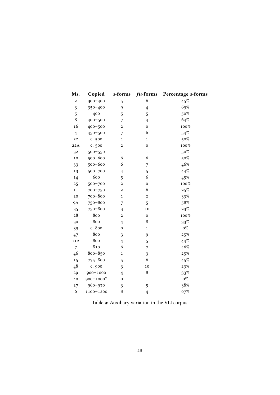| Ms.              | Copied      | s-forms                 | fu-forms         | Percentage s-forms |
|------------------|-------------|-------------------------|------------------|--------------------|
| $\boldsymbol{2}$ | 300-400     | 5                       | 6                | 45%                |
| 3                | 350-400     | 9                       | $\overline{4}$   | 69%                |
| 5                | 400         | 5                       | 5                | 50%                |
| 8                | 400-500     | 7                       | $\overline{4}$   | 64%                |
| 16               | 400-500     | 2                       | 0                | 100%               |
| $\overline{4}$   | 450-500     | 7                       | 6                | 54%                |
| 22               | c. 500      | $\mathbf{1}$            | $\mathbf{1}$     | $50\%$             |
| 22A              | c. 500      | $\overline{c}$          | 0                | 100%               |
| 32               | 500-550     | $\mathbf{1}$            | $\mathbf{1}$     | 50%                |
| 10               | 500-600     | 6                       | 6                | 50%                |
| 33               | 500-600     | 6                       | 7                | 46%                |
| 13               | 500-700     | 4                       | 5                | $44\%$             |
| 14               | 600         | 5                       | 6                | $45\%$             |
| 25               | 500-700     | $\mathbf{2}$            | $\boldsymbol{0}$ | $100\%$            |
| 11               | 700-750     | 2                       | 6                | 25%                |
| 20               | 700-800     | $\mathbf{1}$            | $\overline{c}$   | $33\%$             |
| <b>9A</b>        | 750-800     | 7                       | 5                | 58%                |
| 35               | 750-800     | 3                       | 10               | 23%                |
| 28               | 800         | $\overline{\mathbf{c}}$ | $\mathbf 0$      | $100\%$            |
| 30               | 800         | 4                       | 8                | 33%                |
| 39               | c. 800      | $\overline{0}$          | $\mathbf{1}$     | $0\%$              |
| 47               | 800         | 3                       | 9                | 25%                |
| 11A              | 800         | $\overline{4}$          | 5                | 44%                |
| $\overline{7}$   | 810         | 6                       | 7                | 46%                |
| 46               | 800-850     | $\mathbf{1}$            | 3                | 25%                |
| 15               | $775 - 800$ | 5                       | 6                | $45\%$             |
| 48               | c. 900      | 3                       | 10               | 23%                |
| 29               | 900-1000    | $\overline{4}$          | 8                | 33%                |
| 40               | 900-1000?   | $\mathbf 0$             | 1                | $0\%$              |
| 27               | 960-970     | 3                       | 5                | 38%                |
| 6                | 1100-1200   | 8                       | $\overline{4}$   | 67%                |

Table 9: Auxiliary variation in the VLI corpus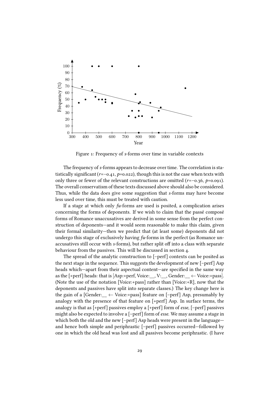

Figure 1: Frequency of s-forms over time in variable contexts

The frequency of s-forms appears to decrease over time. The correlation is statistically significant  $(r=-0.41, p=0.022)$ , though this is not the case when texts with only three or fewer of the relevant constructions are omitted  $(r=-0.36, p=0.091)$ . The overall conservatism of these texts discussed above should also be considered. Thus, while the data does give some suggestion that s-forms may have become less used over time, this must be treated with caution.

If a stage at which only  $fu$ -forms are used is posited, a complication arises concerning the forms of deponents. If we wish to claim that the passé composé forms of Romance unaccusatives are derived in some sense from the perfect construction of deponents—and it would seem reasonable to make this claim, given their formal similarity—then we predict that (at least some) deponents did not undergo this stage of exclusively having  $fu$ -forms in the perfect (as Romance unaccusatives still occur with s-forms), but rather split off into a class with separate behaviour from the passives. This will be discussed in section 4.

The spread of the analytic construction to [–perf] contexts can be posited as the next stage in the sequence. This suggests the development of new [–perf] Asp heads which—apart from their aspectual content—are specified in the same way as the  $[+perf]$  heads: that is  $[Asp.+perf, Voice:$ , V:, Gender:  $\leftarrow Voice.+pass]$ . (Note the use of the notation [Voice:+pass] rather than [Voice:+R], now that the deponents and passives have split into separate classes.) The key change here is the gain of a [Gender:  $\leftarrow$  Voice:+pass] feature on [–perf] Asp, presumably by analogy with the presence of that feature on [+perf] Asp. In surface terms, the analogy is that as [+perf] passives employ a [+perf] form of esse, [–perf] passives might also be expected to involve a [–perf] form of esse. We may assume a stage in which both the old and the new [–perf] Asp heads were present in the language and hence both simple and periphrastic [–perf] passives occurred—followed by one in which the old head was lost and all passives become periphrastic. (I have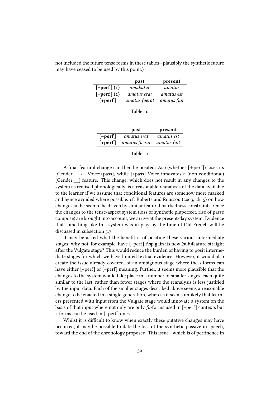not included the future tense forms in these tables—plausibly the synthetic future may have ceased to be used by this point.)

|                 | past          | present     |
|-----------------|---------------|-------------|
| $[-perf] (1)$   | amabatur      | amatur      |
| $[-perf]$ $(2)$ | amatus erat   | amatus est  |
| $[+perf]$       | amatus fuerat | amatus fuit |

Table 10

|           | past          | present     |
|-----------|---------------|-------------|
| $[-perf]$ | amatus erat   | amatus est  |
| $[+perf]$ | amatus fuerat | amatus fuit |

#### Table 11

A final featural change can then be posited: Asp (whether  $[\pm \text{perf}]$ ) loses its [Gender:  $\leftarrow$  Voice:+pass], while [+pass] Voice innovates a (non-conditional) [Gender: ] feature. This change, which does not result in any changes to the system as realised phonologically, is a reasonable reanalysis of the data available to the learner if we assume that conditional features are somehow more marked and hence avoided where possible: cf. Roberts and Roussou (2003, ch. 5) on how change can be seen to be driven by similar featural markedness constraints. Once the changes to the tense/aspect system (loss of synthetic pluperfect, rise of passé composé) are brought into account, we arrive at the present-day system. Evidence that something like this system was in play by the time of Old French will be discussed in subsection 3.7.

It may be asked what the benefit is of positing these various intermediate stages: why not, for example, have [–perf] Asp gain its new (sub)feature straight after the Vulgate stage? This would reduce the burden of having to posit intermediate stages for which we have limited textual evidence. However, it would also create the issue already covered, of an ambiguous stage where the s-forms can have either [+perf] or [–perf] meaning. Further, it seems more plausible that the changes to the system would take place in a number of smaller stages, each quite similar to the last, rather than fewer stages where the reanalysis is less justified by the input data. Each of the smaller stages described above seems a reasonable change to be enacted in a single generation, whereas it seems unlikely that learners presented with input from the Vulgate stage would innovate a system on the basis of that input where not only are only  $fu$ -forms used in [+perf] contexts but s-forms can be used in [–perf] ones.

Whilst it is difficult to know when exactly these putative changes may have occurred, it may be possible to date the loss of the synthetic passive in speech, toward the end of the chronology proposed. This issue—which is of pertinence in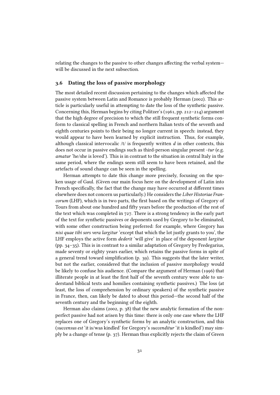relating the changes to the passive to other changes affecting the verbal system will be discussed in the next subsection.

#### 3.6 Dating the loss of passive morphology

The most detailed recent discussion pertaining to the changes which affected the passive system between Latin and Romance is probably Herman (2002). This article is particularly useful in attempting to date the loss of the synthetic passive. Concerning this, Herman begins by citing Politzer's (1961, pp. 212–214) argument that the high degree of precision to which the still frequent synthetic forms conform to classical spelling in French and northern Italian texts of the seventh and eighth centuries points to their being no longer current in speech: instead, they would appear to have been learned by explicit instruction. Thus, for example, although classical intervocalic  $/t/$  is frequently written d in other contexts, this does not occur in passive endings such as third-person singular present -tur (e.g. amatur 'he/she is loved'). This is in contrast to the situation in central Italy in the same period, where the endings seem still seem to have been retained, and the artefacts of sound change can be seen in the spelling.

Herman attempts to date this change more precisely, focusing on the spoken usage of Gaul. (Given our main focus here on the development of Latin into French specifically, the fact that the change may have occurred at different times elsewhere does not concern us particularly.) He considers the Liber Historiae Francorum (LHF), which is in two parts, the first based on the writings of Gregory of Tours from about one hundred and fifty years before the production of the rest of the text which was completed in 727. There is a strong tendency in the early part of the text for synthetic passives or deponents used by Gregory to be eliminated, with some other construction being preferred: for example, where Gregory has nisi quae tibi sors vera largitur 'except that which the lot justly grants to you', the LHF employs the active form *dederit* 'will give' in place of the deponent *largitur* (pp. 34–35). This is in contrast to a similar adaptation of Gregory by Fredegarius, made seventy or eighty years earlier, which retains the passive forms in spite of a general trend toward simplification (p. 39). This suggests that the later writer, but not the earlier, considered that the inclusion of passive morphology would be likely to confuse his audience. (Compare the argument of Herman (1996) that illiterate people in at least the first half of the seventh century were able to understand biblical texts and homilies containing synthetic passives.) The loss (at least, the loss of comprehension by ordinary speakers) of the synthetic passive in France, then, can likely be dated to about this period—the second half of the seventh century and the beginning of the eighth.

Herman also claims (2002, p. 38) that the new analytic formation of the nonperfect passive had not arisen by this time: there is only one case where the LHF replaces one of Gregory's synthetic forms by an analytic construction, and this (succensus est 'it is/was kindled' for Gregory's succenditur 'it is kindled') may simply be a change of tense (p. 37). Herman thus explicitly rejects the claim of Green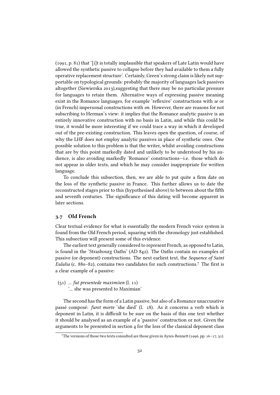(1991, p. 81) that '[i]t is totally implausible that speakers of Late Latin would have allowed the synthetic passive to collapse before they had available to them a fully operative replacement structure'. Certainly, Green's strong claim is likely not supportable on typological grounds: probably the majority of languages lack passives altogether (Siewierska 2013),suggesting that there may be no particular pressure for languages to retain them. Alternative ways of expressing passive meaning exist in the Romance languages, for example 'reflexive' constructions with se or (in French) impersonal constructions with on. However, there are reasons for not subscribing to Herman's view: it implies that the Romance analytic passive is an entirely innovative construction with no basis in Latin, and while this could be true, it would be more interesting if we could trace a way in which it developed out of the pre-existing construction. This leaves open the question, of course, of why the LHF does not employ analytic passives in place of synthetic ones. One possible solution to this problem is that the writer, whilst avoiding constructions that are by this point markedly dated and unlikely to be understood by his audience, is also avoiding markedly 'Romance' constructions—i.e. those which do not appear in older texts, and which he may consider inappropriate for written language.

To conclude this subsection, then, we are able to put quite a firm date on the loss of the synthetic passive in France. This further allows us to date the reconstructed stages prior to this (hypothesised above) to between about the fifth and seventh centuries. The significance of this dating will become apparent in later sections.

#### 3.7 Old French

Clear textual evidence for what is essentially the modern French voice system is found from the Old French period, squaring with the chronology just established. This subsection will present some of this evidence.

The earliest text generally considered to represent French, as opposed to Latin, is found in the 'Strasbourg Oaths' (AD 842). The Oaths contain no examples of passive (or deponent) constructions. The next earliest text, the Sequence of Saint Eulalia (c. 880–82), contains two candidates for such constructions.<sup>7</sup> The first is a clear example of a passive:

- $(51)$  ... fut presentede maximiien  $(l. 11)$ 
	- '... she was presented to Maximian'

The second has the form of a Latin passive, but also of a Romance unaccusative passé composé: furet morte 'she died' (l. 18). As it concerns a verb which is deponent in Latin, it is difficult to be sure on the basis of this one text whether it should be analysed as an example of a 'passive' construction or not. Given the arguments to be presented in section 4 for the loss of the classical deponent class

<sup>&</sup>lt;sup>7</sup>The versions of those two texts consulted are those given in Ayres-Bennett (1996, pp. 16–17, 31).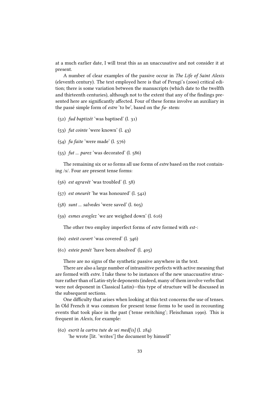at a much earlier date, I will treat this as an unaccusative and not consider it at present.

A number of clear examples of the passive occur in The Life of Saint Alexis (eleventh century). The text employed here is that of Perugi's (2000) critical edition; there is some variation between the manuscripts (which date to the twelfth and thirteenth centuries), although not to the extent that any of the findings presented here are significantly affected. Four of these forms involve an auxiliary in the passé simple form of *estre* 'to be', based on the  $fu$ - stem:

- (52) fud baptizét 'was baptised' (l. 31)
- (53) fut cointe 'were known' (l. 43)
- (54) fu faite 'were made' (l. 576)
- $(55)$  fut ... parez 'was decorated' (l. 586)

The remaining six or so forms all use forms of estre based on the root containing /s/. Four are present tense forms:

- (56) est agravét 'was troubled' (l. 58)
- (57) est oneurét 'he was honoured' (l. 542)
- (58) sunt ... salvedes 'were saved' (l. 605)
- (59) esmes avoglez 'we are weighed down' (l. 616)

The other two employ imperfect forms of estre formed with est-:

- (60) esteit cuvert 'was covered' (l. 346)
- (61) esteie penét 'have been absolved' (l. 405)

There are no signs of the synthetic passive anywhere in the text.

There are also a large number of intransitive perfects with active meaning that are formed with estre. I take these to be instances of the new unaccusative structure rather than of Latin-style deponents (indeed, many of them involve verbs that were not deponent in Classical Latin)—this type of structure will be discussed in the subsequent sections.

One difficulty that arises when looking at this text concerns the use of tenses. In Old French it was common for present tense forms to be used in recounting events that took place in the past ('tense switching'; Fleischman 1990). This is frequent in Alexis, for example:

(62) escrit la cartra tute de sei med[is] (l. 284) 'he wrote [lit. 'writes'] the document by himself'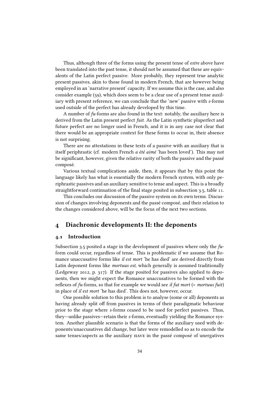Thus, although three of the forms using the present tense of *estre* above have been translated into the past tense, it should not be assumed that these are equivalents of the Latin perfect passive. More probably, they represent true analytic present passives, akin to those found in modern French, that are however being employed in an 'narrative present' capacity. If we assume this is the case, and also consider example (59), which does seem to be a clear use of a present tense auxiliary with present reference, we can conclude that the 'new' passive with s-forms used outside of the perfect has already developed by this time.

A number of  $fu$ -forms are also found in the text: notably, the auxiliary here is derived from the Latin present perfect fuit. As the Latin synthetic pluperfect and future perfect are no longer used in French, and it is in any case not clear that there would be an appropriate context for these forms to occur in, their absence is not surprising.

There are no attestations in these texts of a passive with an auxiliary that is itself periphrastic (cf. modern French a été aimé 'has been loved'). This may not be signicant, however, given the relative rarity of both the passive and the passé composé.

Various textual complications aside, then, it appears that by this point the language likely has what is essentially the modern French system, with only periphrastic passives and an auxiliary sensitive to tense and aspect. This is a broadly straightforward continuation of the final stage posited in subsection 3.5, table 11.

This concludes our discussion of the passive system on its own terms. Discussion of changes involving deponents and the passé composé, and their relation to the changes considered above, will be the focus of the next two sections.

# 4 Diachronic developments II: the deponents

#### 4.1 Introduction

Subsection 3.5 posited a stage in the development of passives where only the  $fu$ form could occur, regardless of tense. This is problematic if we assume that Romance unaccusative forms like il est mort 'he has died' are derived directly from Latin deponent forms like mortuus est, which generally is assumed traditionally (Ledgeway 2012, p. 317). If the stage posited for passives also applied to deponents, then we might expect the Romance unaccusatives to be formed with the reflexes of  $fu$ -forms, so that for example we would see il  $fut$  mort (< mortuus  $fuit$ ) in place of il est mort 'he has died'. This does not, however, occur.

One possible solution to this problem is to analyse (some or all) deponents as having already split off from passives in terms of their paradigmatic behaviour prior to the stage where s-forms ceased to be used for perfect passives. Thus, they—unlike passives—retain their s-forms, eventually yielding the Romance system. Another plausible scenario is that the forms of the auxiliary used with deponents/unaccusatives did change, but later were remodelled so as to encode the same tenses/aspects as the auxiliary have in the passé composé of unergatives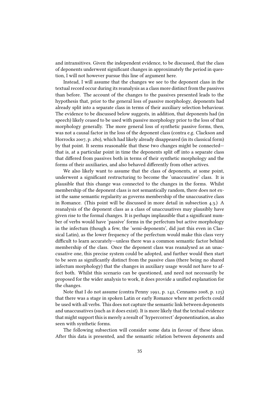and intransitives. Given the independent evidence, to be discussed, that the class of deponents underwent significant changes in approximately the period in question, I will not however pursue this line of argument here.

Instead, I will assume that the changes we see to the deponent class in the textual record occur during its reanalysis as a class more distinct from the passives than before. The account of the changes to the passives presented leads to the hypothesis that, prior to the general loss of passive morphology, deponents had already split into a separate class in terms of their auxiliary selection behaviour. The evidence to be discussed below suggests, in addition, that deponents had (in speech) likely ceased to be used with passive morphology prior to the loss of that morphology generally. The more general loss of synthetic passive forms, then, was not a causal factor in the loss of the deponent class (contra e.g. Clackson and Horrocks 2007, p. 280), which had likely already disappeared (in its classical form) by that point. It seems reasonable that these two changes might be connected that is, at a particular point in time the deponents split off into a separate class that differed from passives both in terms of their synthetic morphology and the forms of their auxiliaries, and also behaved differently from other actives.

We also likely want to assume that the class of deponents, at some point, underwent a significant restructuring to become the 'unaccusative' class. It is plausible that this change was connected to the changes in the forms. Whilst membership of the deponent class is not semantically random, there does not exist the same semantic regularity as governs membership of the unaccusative class in Romance. (This point will be discussed in more detail in subsection 4.3.) A reanalysis of the deponent class as a class of unaccusatives may plausibly have given rise to the formal changes. It is perhaps implausible that a significant number of verbs would have 'passive' forms in the perfectum but active morphology in the infectum (though a few, the 'semi-deponents', did just this even in Classical Latin), as the lower frequency of the perfectum would make this class very difficult to learn accurately—unless there was a common semantic factor behind membership of the class. Once the deponent class was reanalysed as an unaccusative one, this precise system could be adopted, and further would then start to be seen as signicantly distinct from the passive class (there being no shared infectum morphology) that the changes in auxiliary usage would not have to affect both. Whilst this scenario can be questioned, and need not necessarily be proposed for the wider analysis to work, it does provide a unified explanation for the changes.

Note that I do not assume (contra Penny 1991, p. 142, Cennamo 2008, p. 125) that there was a stage in spoken Latin or early Romance where be perfects could be used with all verbs. This does not capture the semantic link between deponents and unaccusatives (such as it does exist). It is more likely that the textual evidence that might support this is merely a result of 'hypercorrect' deponentisation, as also seen with synthetic forms.

The following subsection will consider some data in favour of these ideas. After this data is presented, and the semantic relation between deponents and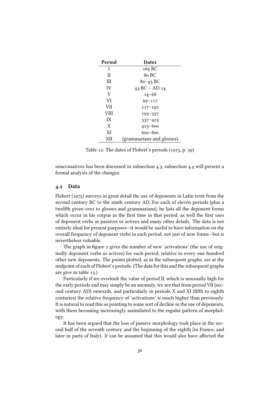| Period | <b>Dates</b>              |
|--------|---------------------------|
| Ι      | 169 BC                    |
| П      | 80 BC                     |
| Ш      | $80 - 43$ BC              |
| IV     | 43 BC – AD $14$           |
| V      | $14 - 68$                 |
| VI     | $69 - 117$                |
| VII    | $117 - 192$               |
| VIII   | $193 - 337$               |
| IX     | $337 - 423$               |
| X      | $423 - 600$               |
| XI     | 600–800                   |
| XН     | (grammarians and glosses) |

Table 12: The dates of Flobert's periods (1975, p. 39)

unaccusatives has been discussed in subsection 4.3, subsection 4.4 will present a formal analysis of the changes.

#### 4.2 Data

Flobert (1975) surveys in great detail the use of deponents in Latin texts from the second century BC to the ninth century AD. For each of eleven periods (plus a twelfth given over to glosses and grammarians), he lists all the deponent forms which occur in his corpus in the first time in that period, as well the first uses of deponent verbs as passives or actives and many other details. The data is not entirely ideal for present purposes—it would be useful to have information on the overall frequency of deponent verbs in each period, not just of new forms—but is nevertheless valuable.

The graph in figure 2 gives the number of new 'activations' (the use of originally deponent verbs as actives) for each period, relative to every one hundred other new deponents. The points plotted, as in the subsequent graphs, are at the midpoint of each of Flobert's periods. (The data for this and the subsequent graphs are give in table 13.)

Particularly if we overlook the value of period II, which is unusually high for the early periods and may simply be an anomaly, we see that from period VII (second century AD) onwards, and particularly in periods X and XI (fifth to eighth centuries) the relative frequency of 'activations' is much higher than previously. It is natural to read this as pointing to some sort of decline in the use of deponents, with them becoming increasingly assimilated to the regular pattern of morphology.

It has been argued that the loss of passive morphology took place in the second half of the seventh century and the beginning of the eighth (in France, and later in parts of Italy). It can be assumed that this would also have affected the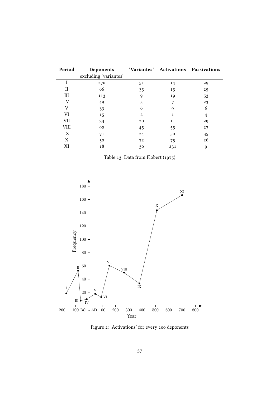| Period | Deponents             |    |     | 'Variantes' Activations Passivations |
|--------|-----------------------|----|-----|--------------------------------------|
|        | excluding 'variantes' |    |     |                                      |
|        | 270                   | 51 | 14  | 29                                   |
| Н      | 66                    | 35 | 15  | 25                                   |
| Ш      | 113                   | 9  | 19  | 53                                   |
| IV     | 49                    | 5  | 7   | 23                                   |
| V      | 33                    | 6  | 9   | 6                                    |
| VI     | 15                    | 2  | 1   | 4                                    |
| VII    | 33                    | 20 | 11  | 29                                   |
| VШ     | 90                    | 45 | 55  | 27                                   |
| IX     | 71                    | 24 | 50  | 35                                   |
| Χ      | 50                    | 72 | 75  | 26                                   |
| XI     | 18                    | 30 | 231 | 9                                    |

Table 13: Data from Flobert (1975)



Figure 2: 'Activations' for every 100 deponents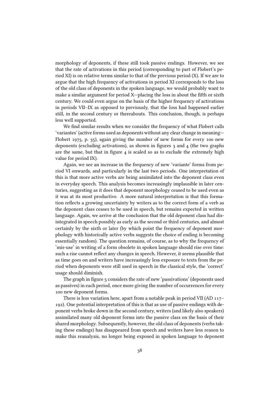morphology of deponents, if these still took passive endings. However, we see that the rate of activations in this period (corresponding to part of Flobert's period XI) is on relative terms similar to that of the previous period (X). If we are to argue that the high frequency of activations in period XI corresponds to the loss of the old class of deponents in the spoken language, we would probably want to make a similar argument for period X-placing the loss in about the fifth or sixth century. We could even argue on the basis of the higher frequency of activations in periods VII–IX as opposed to previously, that the loss had happened earlier still, in the second century or thereabouts. This conclusion, though, is perhaps less well supported.

We find similar results when we consider the frequency of what Flobert calls 'variantes' (active forms used as deponents without any clear change in meaning— Flobert 1975, p. 35), again giving the number of new forms for every 100 new deponents (excluding activations), as shown in figures 3 and 4 (the two graphs are the same, but that in figure  $4$  is scaled so as to exclude the extremely high value for period IX).

Again, we see an increase in the frequency of new 'variante' forms from period VI onwards, and particularly in the last two periods. One interpretation of this is that more active verbs are being assimilated into the deponent class even in everyday speech. This analysis becomes increasingly implausible in later centuries, suggesting as it does that deponent morphology ceased to be used even as it was at its most productive. A more natural interpretation is that this formation reflects a growing uncertainty by writers as to the correct form of a verb as the deponent class ceases to be used in speech, but remains expected in written language. Again, we arrive at the conclusion that the old deponent class had disintegrated in speech possibly as early as the second or third centuries, and almost certainly by the sixth or later (by which point the frequency of deponent morphology with historically active verbs suggests the choice of ending is becoming essentially random). The question remains, of course, as to why the frequency of 'mis-use' in writing of a form obsolete in spoken language should rise over time: such a rise cannot reflect any changes in speech. However, it seems plausible that as time goes on and writers have increasingly less exposure to texts from the period when deponents were still used in speech in the classical style, the 'correct' usage should diminish.

The graph in figure 5 considers the rate of new 'passivations' (deponents used as passives) in each period, once more giving the number of occurrences for every 100 new deponent forms.

There is less variation here, apart from a notable peak in period VII (AD 117– 192). One potential interpretation of this is that as use of passive endings with deponent verbs broke down in the second century, writers (and likely also speakers) assimilated many old deponent forms into the passive class on the basis of their shared morphology. Subsequently, however, the old class of deponents (verbs taking these endings) has disappeared from speech and writers have less reason to make this reanalysis, no longer being exposed in spoken language to deponent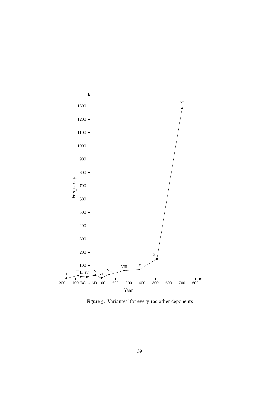

Figure 3: 'Variantes' for every 100 other deponents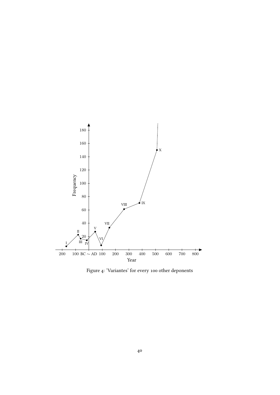

Figure 4: 'Variantes' for every 100 other deponents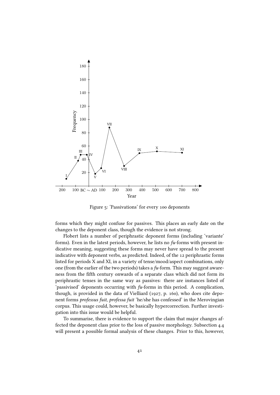

Figure 5: 'Passivations' for every 100 deponents

forms which they might confuse for passives. This places an early date on the changes to the deponent class, though the evidence is not strong.

Flobert lists a number of periphrastic deponent forms (including 'variante' forms). Even in the latest periods, however, he lists no  $fu$ -forms with present indicative meaning, suggesting these forms may never have spread to the present indicative with deponent verbs, as predicted. Indeed, of the 12 periphrastic forms listed for periods X and XI, in a variety of tense/mood/aspect combinations, only one (from the earlier of the two periods) takes a  $fu$ -form. This may suggest awareness from the fifth century onwards of a separate class which did not form its periphrastic tenses in the same way as passives: there are instances listed of 'passivised' deponents occurring with fu-forms in this period. A complication, though, is provided in the data of Vielliard (1927, p. 160), who does cite deponent forms professus fuit, professa fuit 'he/she has confessed' in the Merovingian corpus. This usage could, however, be basically hypercorrection. Further investigation into this issue would be helpful.

To summarise, there is evidence to support the claim that major changes affected the deponent class prior to the loss of passive morphology. Subsection 4.4 will present a possible formal analysis of these changes. Prior to this, however,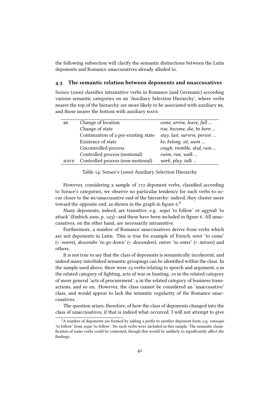the following subsection will clarify the semantic distinctions between the Latin deponents and Romance unaccusatives already alluded to.

#### 4.3 The semantic relation between deponents and unaccusatives

Sorace (2000) classifies intransitive verbs in Romance (and Germanic) according various semantic categories on an 'Auxiliary Selection Hierarchy', where verbs nearer the top of the hierarchy are more likely to be associated with auxiliary be, and those nearer the bottom with auxiliary have:

| BE          | Change of location                   | come, arrive, leave, fall    |
|-------------|--------------------------------------|------------------------------|
|             | Change of state                      | rise, become, die, be born   |
|             | Continuation of a pre-existing state | stay, last, survive, persist |
|             | Existence of state                   | be, belong, sit, seem        |
|             | Uncontrolled process                 | cough, tremble, skid, rain   |
|             | Controlled process (motional)        | swim, run, walk              |
| <b>HAVE</b> | Controlled process (non-motional)    | work, play, talk             |

Table 14: Sorace's (2000) Auxiliary Selection Hierarchy

However, considering a sample of  $172$  deponent verbs, classified according to Sorace's categories, we observe no particular tendency for such verbs to occur closer to the be/unaccusative end of the hierarchy: indeed, they cluster more toward the opposite end, as shown in the graph in figure  $6<sup>8</sup>$ 

Many deponents, indeed, are transitive, e.g. *sequi* 'to follow' or *aggredi* 'to attack' (Embick 2000, p. 193)—and these have been included in figure 6. All unaccusatives, on the other hand, are necessarily intransitive.

Furthermore, a number of Romance unaccusatives derive from verbs which are not deponents in Latin. This is true for example of French venir 'to come' (< venire), descendre 'to go down' (< descendere), entrer 'to enter' (< intrare) and others.

It is not true to say that the class of deponents is semantically incoherent, and indeed many interlinked semantic groupings can be identified within the class. In the sample used above, there were 23 verbs relating to speech and argument, 9 in the related category of fighting, acts of war or hunting, 10 in the related category of more general 'acts of procurement', 9 in the related category of business transactions, and so on. However, the class cannot be considered an 'unaccusative' class, and would appear to lack the semantic regularity of the Romance unaccusatives.

The question arises, therefore, of how the class of deponents changed into the class of unaccusatives, if that is indeed what occurred. I will not attempt to give

 $8A$  number of deponents are formed by adding a prefix to another deponent form, e.g. *consequi* 'to follow' from sequi 'to follow'. No such verbs were included in this sample. The semantic classi fication of some verbs could be contested, though this would be unlikely to significantly affect the findings.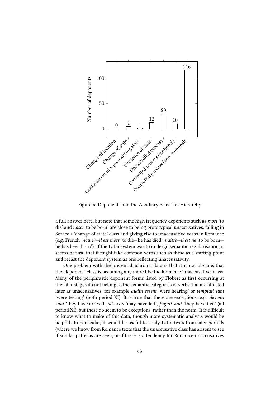

Figure 6: Deponents and the Auxiliary Selection Hierarchy

a full answer here, but note that some high frequency deponents such as mori 'to die' and nasci 'to be born' are close to being prototypical unaccusatives, falling in Sorace's 'change of state' class and giving rise to unaccusative verbs in Romance (e.g. French mourir—il est mort 'to die—he has died', naître—il est né 'to be born he has been born'). If the Latin system was to undergo semantic regularisation, it seems natural that it might take common verbs such as these as a starting point and recast the deponent system as one reflecting unaccusativity.

One problem with the present diachronic data is that it is not obvious that the 'deponent' class is becoming any more like the Romance 'unaccusative' class. Many of the periphrastic deponent forms listed by Flobert as first occurring at the later stages do not belong to the semantic categories of verbs that are attested later as unaccusatives, for example *auditi essent* 'were hearing' or *temptati sunt* 'were testing' (both period XI). It is true that there are exceptions, e.g. deventi sunt 'they have arrived', sit exita 'may have left', fuguti sunt 'they have fled' (all period XI), but these do seem to be exceptions, rather than the norm. It is difficult to know what to make of this data, though more systematic analysis would be helpful. In particular, it would be useful to study Latin texts from later periods (where we know from Romance texts that the unaccusative class has arisen) to see if similar patterns are seen, or if there is a tendency for Romance unaccusatives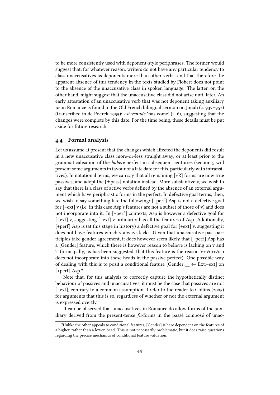to be more consistently used with deponent-style periphrases. The former would suggest that, for whatever reason, writers do not have any particular tendency to class unaccusatives as deponents more than other verbs, and that therefore the apparent absence of this tendency in the texts studied by Flobert does not point to the absence of the unaccusative class in spoken language. The latter, on the other hand, might suggest that the unaccusative class did not arise until later. An early attestation of an unaccusative verb that was not deponent taking auxiliary  $BE$  in Romance is found in the Old French bilingual sermon on Jonah (c. 937–952) (transcribed in de Poerck 1955): est venude 'has come' (l. 6), suggesting that the changes were complete by this date. For the time being, these details must be put aside for future research.

#### 4.4 Formal analysis

Let us assume at present that the changes which affected the deponents did result in a new unaccusative class more-or-less straight away, or at least prior to the grammaticalisation of the habere perfect in subsequent centuries (section 5 will present some arguments in favour of a late date for this, particularly with intransitives). In notational terms, we can say that all remaining  $[+R]$  forms are now true passives, and adopt the  $[\pm$ pass] notation instead. More substantively, we wish to say that there is a class of active verbs defined by the absence of an external argument which have periphrastic forms in the perfect. In defective goal terms, then, we wish to say something like the following: [+perf] Asp is not a defective goal for [–ext] v (i.e. in this case Asp's features are not a subset of those of v) and does not incorporate into it. In [–perf] contexts, Asp is however a defective goal for [–ext] v, suggesting [–ext] v ordinarily has all the features of Asp. Additionally, [+perf] Asp is (at this stage in history) a defective goal for [+ext] v, suggesting it does not have features which v always lacks. Given that unaccusative past participles take gender agreement, it does however seem likely that [+perf] Asp has a [Gender] feature, which there is however reason to believe is lacking on v and T (principally, as has been suggested, that this feature is the reason V+Voi+Asp does not incorporate into these heads in the passive perfect). One possible way of dealing with this is to posit a conditional feature [Gender:  $\leftarrow$  Ext:–ext] on [+perf] Asp.<sup>9</sup>

Note that, for this analysis to correctly capture the hypothetically distinct behaviour of passives and unaccusatives, it must be the case that passives are not [–ext], contrary to a common assumption. I refer to the reader to Collins (2005) for arguments that this is so, regardless of whether or not the external argument is expressed overtly.

It can be observed that unaccusatives in Romance do allow forms of the auxiliary derived from the present-tense  $fu$ -forms in the passé composé of unac-

<sup>&</sup>lt;sup>9</sup>Unlike the other appeals to conditional features, [Gender] is here dependent on the features of a higher, rather than a lower, head. This is not necessarily problematic, but it does raise questions regarding the precise mechanics of conditional feature valuation.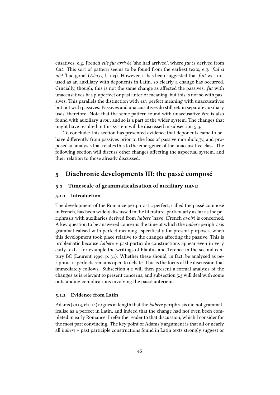cusatives, e.g. French elle fut arrivée 'she had arrived', where fut is derived from fuit. This sort of pattern seems to be found from the earliest texts, e.g. fud si alét 'had gone' (Alexis, l. 103). However, it has been suggested that fuit was not used as an auxiliary with deponents in Latin, so clearly a change has occurred. Crucially, though, this is not the same change as affected the passives:  $fut$  with unaccusatives has pluperfect or past anterior meaning, but this is not so with passives. This parallels the distinction with est: perfect meaning with unaccusatives but not with passives. Passives and unaccusatives do still retain separate auxiliary uses, therefore. Note that the same pattern found with unaccusative être is also found with auxiliary avoir, and so is a part of the wider system. The changes that might have resulted in this system will be discussed in subsection 5.3.

To conclude: this section has presented evidence that deponents came to behave differently from passives prior to the loss of passive morphology, and proposed an analysis that relates this to the emergence of the unaccusative class. The following section will discuss other changes affecting the aspectual system, and their relation to those already discussed.

# 5 Diachronic developments III: the passé composé

#### 5.1 Timescale of grammaticalisation of auxiliary have

#### 5.1.1 Introduction

The development of the Romance periphrastic perfect, called the passé composé in French, has been widely discussed in the literature, particularly as far as the periphrasis with auxiliaries derived from habere 'have' (French avoir) is concerned. A key question to be answered concerns the time at which the habere periphrasis grammaticalised with perfect meaning—specifically for present purposes, when this development took place relative to the changes affecting the passive. This is problematic because habere + past participle constructions appear even in very early texts—for example the writings of Plautus and Terence in the second century BC (Laurent 1999, p. 31). Whether these should, in fact, be analysed as periphrastic perfects remains open to debate. This is the focus of the discussion that immediately follows. Subsection 5.2 will then present a formal analysis of the changes as is relevant to present concerns, and subsection 5.3 will deal with some outstanding complications involving the passé anterieur.

#### 5.1.2 Evidence from Latin

Adams (2013, ch. 14) argues at length that the habere periphrasis did not grammaticalise as a perfect in Latin, and indeed that the change had not even been completed in early Romance. I refer the reader to that discussion, which I consider for the most part convincing. The key point of Adams's argument is that all or nearly all habere + past participle constructions found in Latin texts strongly suggest or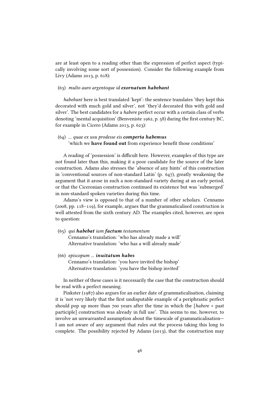are at least open to a reading other than the expression of perfect aspect (typically involving some sort of possession). Consider the following example from Livy (Adams 2013, p. 618):

#### (63) multo auro argentoque id exornatum habebant

habebant here is best translated 'kept': the sentence translates 'they kept this decorated with much gold and silver', not 'they'd decorated this with gold and silver'. The best candidates for a habere perfect occur with a certain class of verbs denoting 'mental acquisition' (Benveniste 1962, p. 58) during the first century BC, for example in Cicero (Adams 2013, p. 623):

#### (64) ... quae ex usu prodesse eis comperta habemus 'which we have found out from experience benefit those conditions'

A reading of 'possession' is difficult here. However, examples of this type are not found later than this, making it a poor candidate for the source of the later construction. Adams also stresses the 'absence of any hints' of this construction in 'conventional sources of non-standard Latin' (p. 647), greatly weakening the argument that it arose in such a non-standard variety during at an early period, or that the Ciceronian construction continued its existence but was 'submerged' in non-standard spoken varieties during this time.

Adams's view is opposed to that of a number of other scholars. Cennamo (2008, pp. 118–119), for example, argues that the grammaticalised construction is well attested from the sixth century AD. The examples cited, however, are open to question:

- (65) qui habebat iam factum testamentum Cennamo's translation: 'who has already made a will' Alternative translation: 'who has a will already made'
- (66) episcopum ... inuitatum habes Cennamo's translation: 'you have invited the bishop' Alternative translation: 'you have the bishop invited'

In neither of these cases is it necessarily the case that the construction should be read with a perfect meaning.

Pinkster (1987) also argues for an earlier date of grammaticalisation, claiming it is 'not very likely that the first undisputable example of a periphrastic perfect should pop up more than 700 years after the time in which the [habere + past participle] construction was already in full use'. This seems to me, however, to involve an unwarranted assumption about the timescale of grammaticalisation— I am not aware of any argument that rules out the process taking this long to complete. The possibility rejected by Adams (2013), that the construction may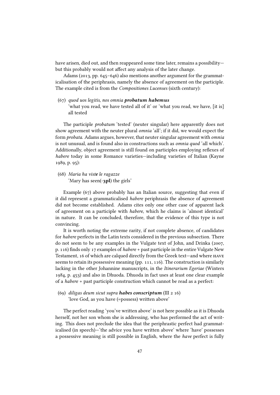have arisen, died out, and then reappeared some time later, remains a possibility but this probably would not affect any analysis of the later change.

Adams (2013, pp. 645–646) also mentions another argument for the grammaticalisation of the periphrasis, namely the absence of agreement on the participle. The example cited is from the Compositiones Lucenses (sixth century):

(67) quod uos legitis, nos omnia probatum habemus 'what you read, we have tested all of it' or 'what you read, we have, [it is] all tested

The participle *probatum* 'tested' (neuter singular) here apparently does not show agreement with the neuter plural omnia 'all'; if it did, we would expect the form probata. Adams argues, however, that neuter singular agreement with omnia is not unusual, and is found also in constructions such as omnia quod 'all which'. Additionally, object agreement is still found on participles employing reflexes of habere today in some Romance varieties—including varieties of Italian (Kayne 1989, p. 95):

(68) Maria ha viste le ragazze 'Mary has seen(-3pl) the girls'

Example (67) above probably has an Italian source, suggesting that even if it did represent a grammaticalised habere periphrasis the absence of agreement did not become established. Adams cites only one other case of apparent lack of agreement on a participle with habere, which he claims is 'almost identical' in nature. It can be concluded, therefore, that the evidence of this type is not convincing.

It is worth noting the extreme rarity, if not complete absence, of candidates for habere perfects in the Latin texts considered in the previous subsection. There do not seem to be any examples in the Vulgate text of John, and Drinka (2007, p. 116) finds only 17 examples of *habere* + past participle in the entire Vulgate New Testament, 16 of which are calqued directly from the Greek text—and where have seems to retain its possessive meaning (pp. 111, 116). The construction is similarly lacking in the other Johannine manuscripts, in the Itinerarium Egeriae (Winters 1984, p. 453) and also in Dhuoda. Dhuoda in fact uses at least one clear example of a habere + past participle construction which cannot be read as a perfect:

(69) diligas deum sicut supra **habes conscriptum** (III  $2 \times 16$ ) 'love God, as you have (=possess) written above'

The perfect reading 'you've written above' is not here possible as it is Dhuoda herself, not her son whom she is addressing, who has performed the act of writing. This does not preclude the idea that the periphrastic perfect had grammaticalised (in speech)—'the advice you have written above' where 'have' possesses a possessive meaning is still possible in English, where the have perfect is fully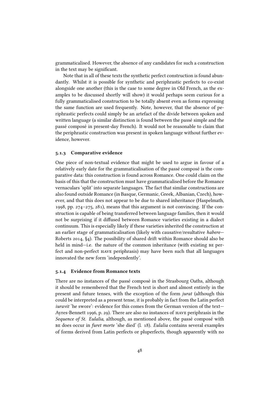grammaticalised. However, the absence of any candidates for such a construction in the text may be significant.

Note that in all of these texts the synthetic perfect construction is found abundantly. Whilst it is possible for synthetic and periphrastic perfects to co-exist alongside one another (this is the case to some degree in Old French, as the examples to be discussed shortly will show) it would perhaps seem curious for a fully grammaticalised construction to be totally absent even as forms expressing the same function are used frequently. Note, however, that the absence of periphrastic perfects could simply be an artefact of the divide between spoken and written language (a similar distinction is found between the passé simple and the passé composé in present-day French). It would not be reasonable to claim that the periphrastic construction was present in spoken language without further evidence, however.

#### 5.1.3 Comparative evidence

One piece of non-textual evidence that might be used to argue in favour of a relatively early date for the grammaticalisation of the passé composé is the comparative data: this construction is found across Romance. One could claim on the basis of this that the construction must have grammaticalised before the Romance vernaculars 'split' into separate languages. The fact that similar constructions are also found outside Romance (in Basque, Germanic, Greek, Albanian, Czech), however, and that this does not appear to be due to shared inheritance (Haspelmath, 1998, pp. 274–275, 281), means that this argument is not convincing. If the construction is capable of being transferred between language families, then it would not be surprising if it diffused between Romance varieties existing in a dialect continuum. This is especially likely if these varieties inherited the construction at an earlier stage of grammaticalisation (likely with causative/resultative habere— Roberts 2014, §4). The possibility of shared drift within Romance should also be held in mind—i.e. the nature of the common inheritance (with existing BE perfect and non-perfect have periphrasis) may have been such that all languages innovated the new form 'independently'.

#### 5.1.4 Evidence from Romance texts

There are no instances of the passé composé in the Strasbourg Oaths, although it should be remembered that the French text is short and almost entirely in the present and future tenses, with the exception of the form jurat (although this could be interpreted as a present tense, it is probably in fact from the Latin perfect iuravit 'he swore': evidence for this comes from the German version of the text-Ayres-Bennett 1996, p. 29). There are also no instances of have periphrasis in the Sequence of St. Eulalia, although, as mentioned above, the passé composé with be does occur in furet morte 'she died' (l. 18). Eulalia contains several examples of forms derived from Latin perfects or pluperfects, though apparently with no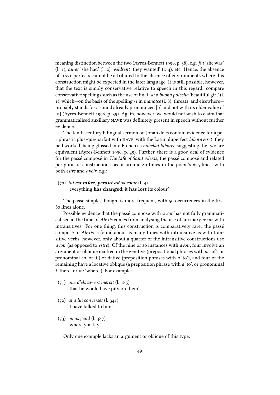meaning distinction between the two (Ayres-Bennett 1996, p. 38), e.g. fut 'she was' (l. 1), auret 'she had' (l. 2), voldrent 'they wanted' (l. 4), etc. Hence, the absence of have perfects cannot be attributed to the absence of environments where this construction might be expected in the later language. It is still possible, however, that the text is simply conservative relative to speech in this regard: compare conservative spellings such as the use of final - $a$  in buona pulcella 'beautiful girl' (l. 1), which—on the basis of the spelling -e in manatce  $(1, 8)$  'threats' and elsewhere probably stands for a sound already pronounced [a] and not with its older value of [a] (Ayres-Bennett 1996, p. 35). Again, however, we would not wish to claim that grammaticalised auxiliary have was denitely present in speech without further evidence.

The tenth-century bilingual sermon on Jonah does contain evidence for a periphrastic plus-que-parfait with have, with the Latin pluperfect laboraveret 'they had worked' being glossed into French as habebat laboret, suggesting the two are equivalent (Ayres-Bennett 1996, p. 45). Further, there is a good deal of evidence for the passé composé in The Life of Saint Alexis; the passé composé and related periphrastic constructions occur around 80 times in the poem's 625 lines, with both estre and avoir, e.g.:

#### $(70)$  tut est müez, perdut ad sa colur  $(l, 4)$ 'everything has changed; it has lost its colour'

The passé simple, though, is more frequent, with 50 occurrences in the first 80 lines alone.

Possible evidence that the passé composé with *avoir* has not fully grammaticalised at the time of Alexis comes from analysing the use of auxiliary avoir with intransitives. For one thing, this construction is comparatively rare: the passé composé in Alexis is found about as many times with intransitive as with transitive verbs; however, only about a quarter of the intransitive constructions use avoir (as opposed to estre). Of the nine or so instances with avoir, four involve an argument or oblique marked in the genitive (prepositional phrases with de 'of', or pronominal en 'of it') or dative (preposition phrases with a 'to'), and four of the remaining have a locative oblique (a preposition phrase with a 'to', or pronominal i 'there' or *ou* 'where'). For example:

- $(71)$  que d'els ai<e>t mercit (l. 185) 'that he would have pity on them'
- (72) ai a lui conversét (l. 341) 'I have talked to him'
- (73) ou as geüd (l. 487) 'where you lay'

Only one example lacks an argument or oblique of this type: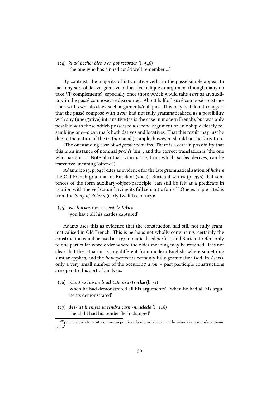# (74) ki ad pechét bien s'en pot recorder (l. 546)

'the one who has sinned could well remember ...'

By contrast, the majority of intransitive verbs in the passé simple appear to lack any sort of dative, genitive or locative oblique or argument (though many do take VP complements), especially once those which would take estre as an auxiliary in the passé composé are discounted. About half of passé composé constructions with estre also lack such arguments/obliques. This may be taken to suggest that the passé composé with avoir had not fully grammaticalised as a possibility with any (unergative) intransitive (as is the case in modern French), but was only possible with those which possessed a second argument or an oblique closely resembling one— $a$  can mark both datives and locatives. That this result may just be due to the nature of the (rather small) sample, however, should not be forgotten.

(The outstanding case of ad pechét remains. There is a certain possibility that this is an instance of nominal pechét 'sin' , and the correct translation is 'the one who has sin ...' Note also that Latin pecco, from which pecher derives, can be transitive, meaning 'offend'.)

Adams (2013, p. 647) cites as evidence for the late grammaticalisation of habere the Old French grammar of Buridant (2000). Buridant writes (p. 376) that sentences of the form auxiliary-object-participle 'can still be felt as a predicate in relation with the verb avoir having its full semantic force'10.One example cited is from the Song of Roland (early twelfth century):

(75) vus li avez tuz ses castelz toluz

'you have all his castles captured'

Adams uses this as evidence that the construction had still not fully grammaticalised in Old French. This is perhaps not wholly convincing: certainly the construction could be used as a grammaticalised perfect, and Buridant refers only to one particular word order where the older meaning may be retained—it is not clear that the situation is any different from modern English, where something similar applies, and the have perfect is certainly fully grammaticalised. In Alexis, only a very small number of the occurring avoir + past participle constructions are open to this sort of analysis:

- (76) quant sa raisun li **ad** tute **mustrethe**  $(l, 71)$ 'when he had demonstrated all his arguments', 'when he had all his arguments demonstrated'
- (77) des- at li emfes sa tendra carn -mudede (l. 116) 'the child had his tender flesh changed'

<sup>&</sup>lt;sup>10</sup>'peut encore être senti comme un prédicat du régime avec un verbe avoir ayant son sémantisme plein'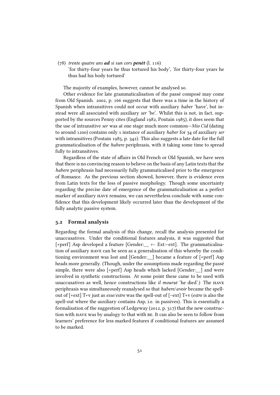$(78)$  trente quatre ans **ad** si sun cors **penét**  $(l, 116)$ 

'for thirty-four years he thus tortured his body', 'for thirty-four years he thus had his body tortured'

The majority of examples, however, cannot be analysed so.

Other evidence for late grammaticalisation of the passé composé may come from Old Spanish. 2002, p. 166 suggests that there was a time in the history of Spanish when intransitives could not occur with auxiliary haber 'have', but instead were all associated with auxiliary ser 'be'. Whilst this is not, in fact, supported by the sources Penny cites (England 1982, Poutain 1985), it does seem that the use of intransitive ser was at one stage much more common—Mio Cid (dating to around 1200) contains only 1 instance of auxiliary haber for 34 of auxiliary ser with intransitives (Poutain 1985, p. 342). This also suggests a late date for the full grammaticalisation of the habere periphrasis, with it taking some time to spread fully to intransitives.

Regardless of the state of affairs in Old French or Old Spanish, we have seen that there is no convincing reason to believe on the basis of any Latin texts that the habere periphrasis had necessarily fully grammaticalised prior to the emergence of Romance. As the previous section showed, however, there is evidence even from Latin texts for the loss of passive morphology. Though some uncertainty regarding the precise date of emergence of the grammaticalisation as a perfect marker of auxiliary have remains, we can nevertheless conclude with some con dence that this development likely occurred later than the development of the fully analytic passive system.

#### 5.2 Formal analysis

Regarding the formal analysis of this change, recall the analysis presented for unaccusatives. Under the conditional features analysis, it was suggested that [+perf] Asp developed a feature [Gender: $\_\_$  ← Ext:-ext]. The grammaticalisation of auxiliary have can be seen as a generalisation of this whereby the conditioning environment was lost and [Gender:\_\_] became a feature of [+perf] Asp heads more generally. (Though, under the assumptions made regarding the passé simple, there were also  $[+perf]$  Asp heads which lacked [Gender:  $\Box$ ] and were involved in synthetic constructions. At some point these came to be used with unaccusatives as well, hence constructions like il mourut 'he died'.) The have periphrasis was simultaneously reanalysed so that habere/avoir became the spellout of [+ext] T+v just as esse/estre was the spell-out of [–ext] T+v (estre is also the spell-out where the auxiliary contains Asp, i.e. in passives). This is essentially a formalisation of the suggestion of Ledgeway (2012, p. 317) that the new construction with have was by analogy to that with be. It can also be seen to follow from learners' preference for less marked features if conditional features are assumed to be marked.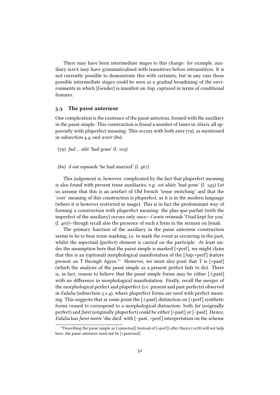There may have been intermediate stages to this change: for example, auxiliary have may have grammaticalised with transitives before intransitives. It is not currently possible to demonstrate this with certainty, but in any case these possible intermediate stages could be seen as a gradual broadening of the environments in which [Gender] is manifest on Asp, captured in terms of conditional features.

#### 5.3 The passé anterieur

One complication is the existence of the passé anterieur, formed with the auxiliary in the passé simple. This construction is found a number of times in Alexis, all apparently with pluperfect meaning. This occurs with both estre (79), as mentioned in subsection 4.4, and avoir (80):

(79) fud ... alét 'had gone' (l. 103)

(80) il out espusede 'he had married' (l. 467)

This judgement is, however, complicated by the fact that pluperfect meaning is also found with present tense auxiliaries, e.g. est alüéz 'had gone' (l. 545) Let us assume that this is an artefact of Old French 'tense switching' and that the 'core' meaning of this construction is pluperfect, as it is in the modern language (where it is however restricted in usage). This is in fact the predominant way of forming a construction with pluperfect meaning: the plus-que-parfait (with the imperfect of the auxiliary) occurs only once—t'aveie retunude 'I had kept for you' (l. 407)—though recall also the presence of such a form in the sermon on Jonah.

The primary function of the auxiliary in the passé anterieur construction seems to be to bear tense marking, i.e. to mark the event as occurring in the past, whilst the aspectual (perfect) element is carried on the participle. At least under the assumption here that the passé simple is marked [+perf], we might claim that this is an (optional) morphological manifestation of the [Asp:+perf] feature present on T through Agree.<sup>11</sup> However, we must also posit that T is  $[+past]$ (which the analysis of the passé simple as a present perfect fails to do). There is, in fact, reason to believe that the passé simple forms may be either  $[\pm$ past] with no difference in morphological manifestation. Firstly, recall the merger of the morphological perfect and pluperfect (i.e. present and past perfects) observed in Eulalia (subsection 5.1.4), where pluperfect forms are used with perfect meaning. This suggests that at some point the  $[\pm$ past] distinction on  $[\pm$ perf] synthetic forms ceased to correspond to a morphological distinction: both fut (originally perfect) and furet (originally pluperfect) could be either [+past] or [–past]. Hence, Eulalia has furet morte 'she died' with [–past, +perf] interpretation on the scheme

<sup>&</sup>lt;sup>11</sup> Describing the passé simple as [+punctual] (instead of [+perf]) after Harris (1978) will not help here: the passé anterieur need not be [+punctual].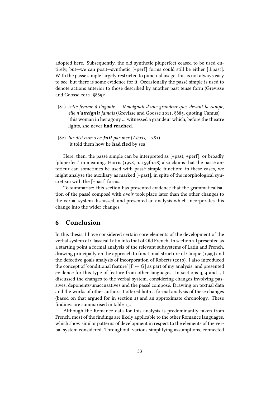adopted here. Subsequently, the old synthetic pluperfect ceased to be used entirely, but—we can posit—synthetic [+perf] forms could still be either [±past]. With the passé simple largely restricted to punctual usage, this is not always easy to see, but there is some evidence for it. Occasionally the passé simple is used to denote actions anterior to those described by another past tense form (Grevisse and Goosse 2011, §885):

- (81) cette femme à l'agonie ... témoignait d'une grandeur que, devant la rampe, elle n'atteignit jamais (Grevisse and Goosse 2011,  $8885$ , quoting Camus) 'this woman in her agony ... witnessed a grandeur which, before the theatre lights, she never had reached.'
- (82) lur dist cum s'en fuït par mer (Alexis, l. 381) 'it told them how he had fled by sea'

Here, then, the passé simple can be interpreted as [+past, +perf], or broadly 'pluperfect' in meaning. Harris (1978, p. 159fn.28) also claims that the passé anterieur can sometimes be used with passé simple function: in these cases, we might analyse the auxiliary as marked [–past], in spite of the morphological syncretism with the [+past] forms.

To summarise: this section has presented evidence that the grammaticalisation of the passé composé with avoir took place later than the other changes to the verbal system discussed, and presented an analysis which incorporates this change into the wider changes.

# 6 Conclusion

In this thesis, I have considered certain core elements of the development of the verbal system of Classical Latin into that of Old French. In section 2 I presented as a starting point a formal analysis of the relevant subsystems of Latin and French, drawing principally on the approach to functional structure of Cinque (1999) and the defective goals analysis of incorporation of Roberts (2010). I also introduced the concept of 'conditional feature'  $[F \leftarrow G]$  as part of my analysis, and presented evidence for this type of feature from other languages. In sections 3, 4 and 5 I discussed the changes to the verbal system, considering changes involving passives, deponents/unaccusatives and the passé composé. Drawing on textual data and the works of other authors, I offered both a formal analysis of these changes (based on that argued for in section 2) and an approximate chronology. These findings are summarised in table 15.

Although the Romance data for this analysis is predominantly taken from French, most of the findings are likely applicable to the other Romance languages, which show similar patterns of development in respect to the elements of the verbal system considered. Throughout, various simplifying assumptions, connected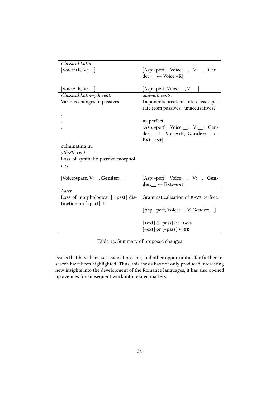| Classical Latin                         |                                                               |
|-----------------------------------------|---------------------------------------------------------------|
| [Voice:+R, V: $\Box$ ]                  | [Asp:+perf, Voice:__, V:__, Gen-                              |
|                                         | der: $\leftarrow$ Voice:+R                                    |
|                                         |                                                               |
| [Voice:-R, V: $\_$ ]                    | [Asp:–perf, Voice:__, V:__ ]                                  |
| Classical Latin-7th cent.               | $2nd$ –6th cents.                                             |
| Various changes in passives             | Deponents break off into class sepa-                          |
|                                         | rate from passives-unaccusatives?                             |
|                                         |                                                               |
|                                         | BE perfect:                                                   |
|                                         | [Asp:+perf, Voice:__, V:__, Gen-                              |
|                                         | der: $\leftarrow$ Voice:+R, Gender: $\leftarrow$              |
|                                         | $Ext: -ext$                                                   |
| culminating in:                         |                                                               |
|                                         |                                                               |
| 7th/8th cent.                           |                                                               |
| Loss of synthetic passive morphol-      |                                                               |
| ogy                                     |                                                               |
|                                         |                                                               |
| [Voice:+pass, V:__, Gender:_]           | [Asp:+perf, Voice:__, V:__, Gen-                              |
|                                         | der: $\leftarrow$ Ext:-ext                                    |
| Later                                   |                                                               |
| Loss of morphological $[\pm$ past] dis- | Grammaticalisation of HAVE perfect:                           |
| tinction on $[+perf]$ T                 |                                                               |
|                                         | [Asp:+perf, Voice:__, V, Gender:__]                           |
|                                         |                                                               |
|                                         | $[+ext]$ ( $[-pass]$ ) v: HAVE<br>$[-ext]$ or $[+pass]$ v: BE |

Table 15: Summary of proposed changes

issues that have been set aside at present, and other opportunities for further research have been highlighted. Thus, this thesis has not only produced interesting new insights into the development of the Romance languages, it has also opened up avenues for subsequent work into related matters.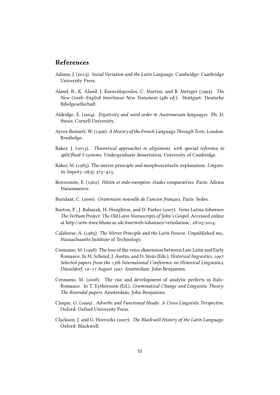# References

- Adams, J. (2013). Social Variation and the Latin Language. Cambridge: Cambridge University Press.
- Aland, B., K. Aland, J. Karavidopoulos, C. Martini, and B. Metzger (1993). The New Greek–English Interlinear New Testament (4th ed.). Stuttgart: Deutsche Bibelgesellschaft.
- Aldridge, E. (2004). Ergativity and word order in Austronesian languages. Ph. D. thesis, Cornell University.
- Ayres-Bennett, W. (1996). A History of the French Language Through Texts. London: Routledge.
- Baker, J. (2013). Theoretical approaches to alignment, with special reference to split/fluid-S systems. Undergraduate dissertation, University of Cambridge.
- Baker, M. (1985). The mirror principle and morphosyntactic explanation. Linguistic Inquiry  $16(3)$ ,  $375-415$ .
- Benveniste, E. (1962). Hittite et indo-européen: études comparatives. Paris: Adrien Maisonneuve.
- Buridant, C. (2000). Grammaire nouvelle de l'ancien français. Paris: Sedes.
- Burton, P., J. Balsarak, H. Houghton, and D. Parker (2007). Vetus Latina Iohannes: The Verbum Project: The Old Latin Manuscripts of John's Gospel. Accessed online at http://arts-itsee.bham.ac.uk/itseeweb/iohannes/vetuslatina/, 28/05/2014.
- Calabrese, A. (1985). The Mirror Principle and the Latin Passive. Unpublished ms., Massachusetts Institute of Technology.
- Cennamo, M. (1998). The loss of the voice dimension between Late Latin and Early Romance. In M. Schmid, J. Austin, and D. Stein (Eds.), Historical linguistics, 1997: Selected papers from the 13th International Conference on Historical Linguistics, Düsseldorf, 10–17 August 1997. Amsterdam: John Benjamins.
- Cennamo, M. (2008). The rise and development of analytic perfects in Italo-Romance. In T. Eythórsson (Ed.), Grammatical Change and Linguistic Theory: The Rosendal papers. Amsterdam: John Benjamins.
- Cinque, G. (1999). Adverbs and Functional Heads: A Cross-Linguistic Perspective. Oxford: Oxford University Press.
- Clackson, J. and G. Horrocks (2007). The Blackwell History of the Latin Language. Oxford: Blackwell.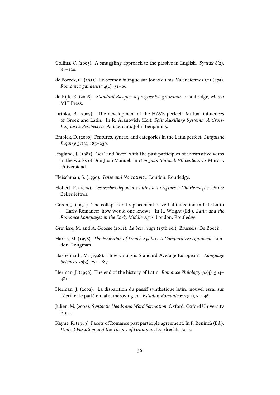- Collins, C. (2005). A smuggling approach to the passive in English. Syntax  $8(2)$ , 81–120.
- de Poerck, G. (1955). Le Sermon bilingue sur Jonas du ms. Valenciennes 521 (475). Romanica gandensia  $4(1)$ , 31-66.
- de Rijk, R. (2008). Standard Basque: a progressive grammar. Cambridge, Mass.: MIT Press.
- Drinka, B. (2007). The development of the HAVE perfect: Mutual influences of Greek and Latin. In R. Aranovich (Ed.), Split Auxiliary Systems: A Cross-Linguistic Perspective. Amsterdam: John Benjamins.
- Embick, D. (2000). Features, syntax, and categories in the Latin perfect. Linguistic  $Inquiry$  31(2), 185-230.
- England, J. (1982). 'ser' and 'aver' with the past participles of intransitive verbs in the works of Don Juan Manuel. In Don Juan Manuel: VII centenario. Murcia: Universidad.
- Fleischman, S. (1990). Tense and Narrativity. London: Routledge.
- Flobert, P. (1975). Les verbes déponents latins des origines à Charlemagne. Paris: Belles lettres.
- Green, J. (1991). The collapse and replacement of verbal inflection in Late Latin — Early Romance: how would one know? In R. Wright (Ed.), Latin and the Romance Languages in the Early Middle Ages. London: Routledge.
- Grevisse, M. and A. Goosse (2011). Le bon usage (15th ed.). Brussels: De Boeck.
- Harris, M. (1978). The Evolution of French Syntax: A Comparative Approach. London: Longman.
- Haspelmath, M. (1998). How young is Standard Average European? Language Sciences 20(3), 271-287.
- Herman, J. (1996). The end of the history of Latin. Romance Philology  $46(4)$ , 364– 381.
- Herman, J. (2002). La disparition du passif synthétique latin: nouvel essai sur l'écrit et le parlé en latin mérovingien. Estudios Romanicos 24(1), 31–46.
- Julien, M. (2002). Syntactic Heads and Word Formation. Oxford: Oxford University Press.
- Kayne, R. (1989). Facets of Romance past participle agreement. In P. Benincà (Ed.), Dialect Variation and the Theory of Grammar. Dordrecht: Foris.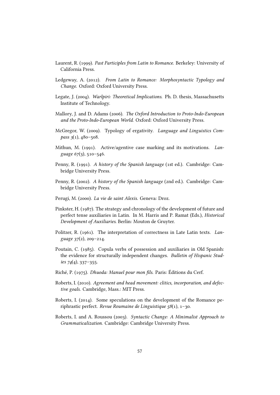- Laurent, R. (1999). Past Participles from Latin to Romance. Berkeley: University of California Press.
- Ledgeway, A. (2012). From Latin to Romance: Morphosyntactic Typology and Change. Oxford: Oxford University Press.
- Legate, J. (2004). Warlpiri: Theoretical Implications. Ph. D. thesis, Massachusetts Institute of Technology.
- Mallory, J. and D. Adams (2006). The Oxford Introduction to Proto-Indo-European and the Proto-Indo-European World. Oxford: Oxford University Press.
- McGregor, W. (2009). Typology of ergativity. Language and Linguistics Compass  $3(1)$ ,  $480 - 508$ .
- Mithun, M. (1991). Active/agentive case marking and its motivations. Language  $67(3)$ , 510-546.
- Penny, R. (1991). A history of the Spanish language (1st ed.). Cambridge: Cambridge University Press.
- Penny, R. (2002). A history of the Spanish language (2nd ed.). Cambridge: Cambridge University Press.
- Perugi, M. (2000). La vie de saint Alexis. Geneva: Droz.
- Pinkster, H. (1987). The strategy and chronology of the development of future and perfect tense auxiliaries in Latin. In M. Harris and P. Ramat (Eds.), Historical Development of Auxiliaries. Berlin: Mouton de Gruyter.
- Politzer, R. (1961). The interpretation of correctness in Late Latin texts. Language 37(2), 209–214.
- Poutain, C. (1985). Copula verbs of possession and auxiliaries in Old Spanish: the evidence for structurally independent changes. Bulletin of Hispanic Studies  $74(4)$ , 337–355.
- Riché, P. (1975). Dhuoda: Manuel pour mon fils. Paris: Éditions du Cerf.
- Roberts, I. (2010). Agreement and head movement: clitics, incorporation, and defective goals. Cambridge, Mass.: MIT Press.
- Roberts, I. (2014). Some speculations on the development of the Romance periphrastic perfect. Revue Roumaine de Linguistique 58(1), 1–30.
- Roberts, I. and A. Roussou (2003). Syntactic Change: A Minimalist Approach to Grammaticalization. Cambridge: Cambridge University Press.